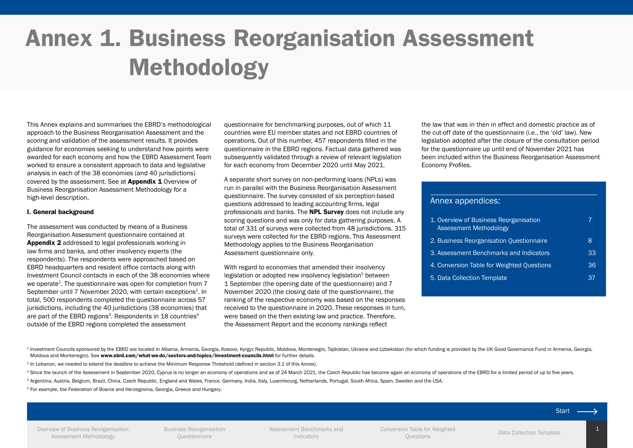# Annex 1. Business Reorganisation Assessment Methodology

This Annex explains and summarises the EBRD's methodological approach to the Business Reorganisation Assessment and the scoring and validation of the assessment results. It provides guidance for economies seeking to understand how points were awarded for each economy and how the EBRD Assessment Team worked to ensure a consistent approach to data and legislative analysis in each of the 38 economies (and 40 jurisdictions) covered by the assessment. See at [Appendix 1](#page-6-0) Overview of Business Reorganisation Assessment Methodology for a high-level description.

### I. General background

The assessment was conducted by means of a Business Reorganisation Assessment questionnaire contained at [Appendix 2](#page-7-0) addressed to legal professionals working in law firms and banks, and other insolvency experts (the respondents). The respondents were approached based on EBRD headquarters and resident office contacts along with Investment Council contacts in each of the 38 economies where we operate<sup>1</sup>. The questionnaire was open for completion from 7 September until 7 November 2020, with certain exceptions<sup>2</sup>. In total, 500 respondents completed the questionnaire across 57 jurisdictions, including the 40 jurisdictions (38 economies) that are part of the EBRD regions<sup>3</sup>. Respondents in 18 countries<sup>4</sup> outside of the EBRD regions completed the assessment

questionnaire for benchmarking purposes, out of which 11 countries were EU member states and not EBRD countries of operations. Out of this number, 457 respondents filled in the questionnaire in the EBRD regions. Factual data gathered was subsequently validated through a review of relevant legislation for each economy from December 2020 until May 2021.

A separate short survey on non-performing loans (NPLs) was run in parallel with the Business Reorganisation Assessment questionnaire. The survey consisted of six perception-based questions addressed to leading accounting firms, legal professionals and banks. The **[NPL Survey](https://www.ebrd-restructuring.com/storage/uploads/documents/18.pdf)** does not include any scoring questions and was only for data gathering purposes. A total of 331 of surveys were collected from 48 jurisdictions. 315 surveys were collected for the EBRD regions. This Assessment Methodology applies to the Business Reorganisation Assessment questionnaire only.

With regard to economies that amended their insolvency legislation or adopted new insolvency legislation<sup>5</sup> between 1 September (the opening date of the questionnaire) and 7 November 2020 (the closing date of the questionnaire), the ranking of the respective economy was based on the responses received to the questionnaire in 2020. These responses in turn, were based on the then existing law and practice. Therefore, the Assessment Report and the economy rankings reflect

the law that was in then in effect and domestic practice as of the cut-off date of the questionnaire (i.e., the 'old' law). New legislation adopted after the closure of the consultation period for the questionnaire up until end of November 2021 has been included within the Business Reorganisation Assessment Economy Profiles.

## Annex appendices:

| 1. Overview of Business Reorganisation<br>Assessment Methodology |    |
|------------------------------------------------------------------|----|
| 2. Business Reorganisation Questionnaire                         | 8  |
| 3. Assessment Benchmarks and Indicators                          | 33 |
| 4. Conversion Table for Weighted Questions                       | 36 |
| 5. Data Collection Template                                      | 37 |

<sup>1</sup> Investment Councils sponsored by the EBRD are located in Albania. Armenia, Georgia, Kosovo, Kyrgyz Republic, Moldoya, Montenegro, Taiikistan, Ukraine and Uzbekistan (for which funding is provided by the UK Good Governa Moldova and Montenegro). See <www.ebrd.com/what-we-do/sectors-and-topics/investment-councils.html> for further details.

<sup>2</sup> In Lebanon, we needed to extend the deadline to achieve the Minimum Response Threshold (defined in section 3.1 of this Annex).

<sup>3</sup> Since the launch of the Assessment in September 2020, Cyprus is no longer an economy of operations and as of 24 March 2021, the Czech Republic has become again an economy of operations of the EBRD for a limited period

<sup>4</sup> Argentina, Austria, Belgium, Brazil, China, Czech Republic, England and Wales, France, Germany, India, Italy, Luxembourg, Netherlands, Portugal, South Africa, Spain, Sweden and the USA.

<sup>5</sup> For example, the Federation of Bosnia and Herzegovina, Georgia, Greece and Hungary.

[Overview of Business Reorganisation](#page-6-0)  [Assessment Methodology](#page-6-0)

[Business Reorganisation](#page-7-0)  [Questionnaire](#page-7-0)

[Assessment Benchmarks and](#page-32-0)  [Indicators](#page-32-0)

[Conversion Table for Weighted](#page-35-0)  n Table for weighted<br>
Ouestions<br>
Ouestions

Start -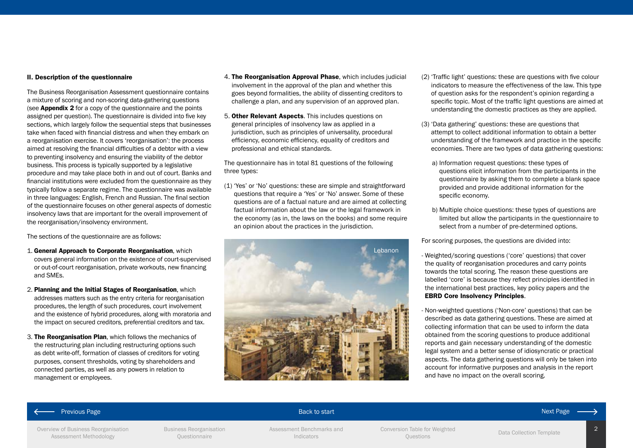### II. Description of the questionnaire

The Business Reorganisation Assessment questionnaire contains a mixture of scoring and non-scoring data-gathering questions (see **[Appendix 2](#page-7-0)** for a copy of the questionnaire and the points assigned per question). The questionnaire is divided into five key sections, which largely follow the sequential steps that businesses take when faced with financial distress and when they embark on a reorganisation exercise. It covers 'reorganisation': the process aimed at resolving the financial difficulties of a debtor with a view to preventing insolvency and ensuring the viability of the debtor business. This process is typically supported by a legislative procedure and may take place both in and out of court. Banks and financial institutions were excluded from the questionnaire as they typically follow a separate regime. The questionnaire was available in three languages: English, French and Russian. The final section of the questionnaire focuses on other general aspects of domestic insolvency laws that are important for the overall improvement of the reorganisation/insolvency environment.

The sections of the questionnaire are as follows:

- 1. General Approach to Corporate Reorganisation, which covers general information on the existence of court-supervised or out-of-court reorganisation, private workouts, new financing and SMEs.
- 2. Planning and the Initial Stages of Reorganisation, which addresses matters such as the entry criteria for reorganisation procedures, the length of such procedures, court involvement and the existence of hybrid procedures, along with moratoria and the impact on secured creditors, preferential creditors and tax.
- 3. The Reorganisation Plan, which follows the mechanics of the restructuring plan including restructuring options such as debt write-off, formation of classes of creditors for voting purposes, consent thresholds, voting by shareholders and connected parties, as well as any powers in relation to management or employees.
- 4. The Reorganisation Approval Phase, which includes judicial involvement in the approval of the plan and whether this goes beyond formalities, the ability of dissenting creditors to challenge a plan, and any supervision of an approved plan.
- 5. Other Relevant Aspects. This includes questions on general principles of insolvency law as applied in a jurisdiction, such as principles of universality, procedural efficiency, economic efficiency, equality of creditors and professional and ethical standards.

The questionnaire has in total 81 questions of the following three types:

(1) 'Yes' or 'No' questions: these are simple and straightforward questions that require a 'Yes' or 'No' answer. Some of these questions are of a factual nature and are aimed at collecting factual information about the law or the legal framework in the economy (as in, the laws on the books) and some require an opinion about the practices in the jurisdiction.



- (2) 'Traffic light' questions: these are questions with five colour indicators to measure the effectiveness of the law. This type of question asks for the respondent's opinion regarding a specific topic. Most of the traffic light questions are aimed at understanding the domestic practices as they are applied.
- (3) 'Data gathering' questions: these are questions that attempt to collect additional information to obtain a better understanding of the framework and practice in the specific economies. There are two types of data gathering questions:
	- a) Information request questions: these types of questions elicit information from the participants in the questionnaire by asking them to complete a blank space provided and provide additional information for the specific economy.
	- b) Multiple choice questions: these types of questions are limited but allow the participants in the questionnaire to select from a number of pre-determined options.

For scoring purposes, the questions are divided into:

- Weighted/scoring questions ('core' questions) that cover the quality of reorganisation procedures and carry points towards the total scoring. The reason these questions are labelled 'core' is because they reflect principles identified in the international best practices, key policy papers and the [EBRD Core Insolvency Principles](https://www.ebrd.com/legal-reform/ebrd-insolvency-coreprinciples.pdf).

- Non-weighted questions ('Non-core' questions) that can be described as data gathering questions. These are aimed at collecting information that can be used to inform the data obtained from the scoring questions to produce additional reports and gain necessary understanding of the domestic legal system and a better sense of idiosyncratic or practical aspects. The data gathering questions will only be taken into account for informative purposes and analysis in the report and have no impact on the overall scoring.

### Previous Page Back to start Next Page Back to start Next Page Back to start Next Page Back of the Back to start

### [Overview of Business Reorganisation](#page-6-0)  [Assessment Methodology](#page-6-0)

[Business Reorganisation](#page-7-0)  [Questionnaire](#page-7-0)

[Assessment Benchmarks and](#page-32-0)  [Indicators](#page-32-0)

Conversion Table for Weighted<br>Ouestions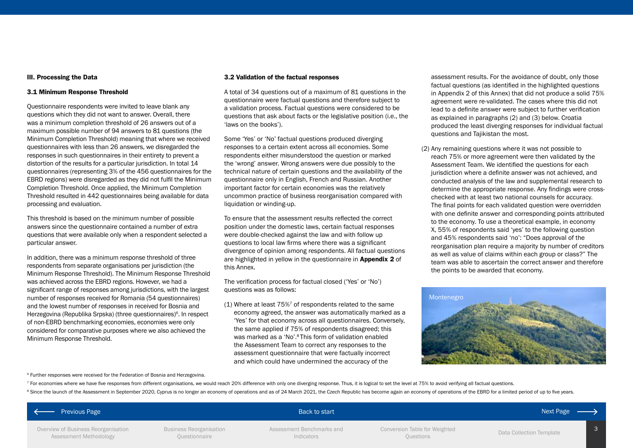### III. Processing the Data

### 3.1 Minimum Response Threshold

Questionnaire respondents were invited to leave blank any questions which they did not want to answer. Overall, there was a minimum completion threshold of 26 answers out of a maximum possible number of 94 answers to 81 questions (the Minimum Completion Threshold) meaning that where we received questionnaires with less than 26 answers, we disregarded the responses in such questionnaires in their entirety to prevent a distortion of the results for a particular jurisdiction. In total 14 questionnaires (representing 3% of the 456 questionnaires for the EBRD regions) were disregarded as they did not fulfil the Minimum Completion Threshold. Once applied, the Minimum Completion Threshold resulted in 442 questionnaires being available for data processing and evaluation.

This threshold is based on the minimum number of possible answers since the questionnaire contained a number of extra questions that were available only when a respondent selected a particular answer.

In addition, there was a minimum response threshold of three respondents from separate organisations per jurisdiction (the Minimum Response Threshold). The Minimum Response Threshold was achieved across the EBRD regions. However, we had a significant range of responses among jurisdictions, with the largest number of responses received for Romania (54 questionnaires) and the lowest number of responses in received for Bosnia and Herzegovina (Republika Srpska) (three questionnaires)<sup>6</sup>. In respect of non-EBRD benchmarking economies, economies were only considered for comparative purposes where we also achieved the Minimum Response Threshold.

### 3.2 Validation of the factual responses

A total of 34 questions out of a maximum of 81 questions in the questionnaire were factual questions and therefore subject to a validation process. Factual questions were considered to be questions that ask about facts or the legislative position (i.e., the 'laws on the books').

Some 'Yes' or 'No' factual questions produced diverging responses to a certain extent across all economies. Some respondents either misunderstood the question or marked the 'wrong' answer. Wrong answers were due possibly to the technical nature of certain questions and the availability of the questionnaire only in English, French and Russian. Another important factor for certain economies was the relatively uncommon practice of business reorganisation compared with liquidation or winding-up.

To ensure that the assessment results reflected the correct position under the domestic laws, certain factual responses were double-checked against the law and with follow up questions to local law firms where there was a significant divergence of opinion among respondents. All factual questions are highlighted in yellow in the questionnaire in **[Appendix 2](#page-7-0)** of this Annex.

The verification process for factual closed ('Yes' or 'No') questions was as follows:

(1) Where at least  $75\%$ <sup>7</sup> of respondents related to the same economy agreed, the answer was automatically marked as a 'Yes' for that economy across all questionnaires. Conversely, the same applied if 75% of respondents disagreed; this was marked as a 'No'.8 This form of validation enabled the Assessment Team to correct any responses to the assessment questionnaire that were factually incorrect and which could have undermined the accuracy of the

assessment results. For the avoidance of doubt, only those factual questions (as identified in the highlighted questions in Appendix 2 of this Annex) that did not produce a solid 75% agreement were re-validated. The cases where this did not lead to a definite answer were subject to further verification as explained in paragraphs (2) and (3) below. Croatia produced the least diverging responses for individual factual questions and Tajikistan the most.

(2) Any remaining questions where it was not possible to reach 75% or more agreement were then validated by the Assessment Team. We identified the questions for each jurisdiction where a definite answer was not achieved, and conducted analysis of the law and supplemental research to determine the appropriate response. Any findings were crosschecked with at least two national counsels for accuracy. The final points for each validated question were overridden with one definite answer and corresponding points attributed to the economy. To use a theoretical example, in economy X, 55% of respondents said 'yes' to the following question and 45% respondents said 'no': "Does approval of the reorganisation plan require a majority by number of creditors as well as value of claims within each group or class?" The team was able to ascertain the correct answer and therefore the points to be awarded that economy.



<sup>6</sup> Further responses were received for the Federation of Bosnia and Herzegovina.

 $^7$  For economies where we have five responses from different organisations, we would reach 20% difference with only one diverging response. Thus, it is logical to set the level at 75% to avoid verifying all factual ques <sup>8</sup> Since the launch of the Assessment in September 2020. Cyprus is no longer an economy of operations and as of 24 March 2021, the Czech Republic has become again an economy of operations of the EBRD for a limited period

#### 3 [Overview of Business Reorganisation](#page-6-0)  [Assessment Methodology](#page-6-0) [Business Reorganisation](#page-7-0)  [Questionnaire](#page-7-0) [Assessment Benchmarks and](#page-32-0)  [Indicators](#page-32-0) Conversion Table for Weighted<br>Ouestions [Data Collection Template](#page-36-0) Previous Page Back to start Next Page Back to start Next Page Back to start Next Page Back of the Back to start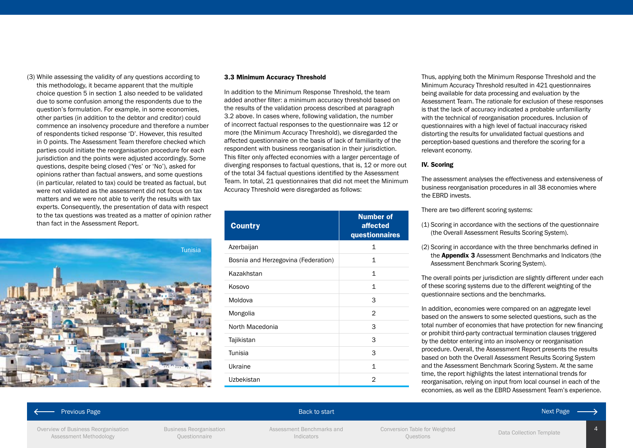(3) While assessing the validity of any questions according to this methodology, it became apparent that the multiple choice question 5 in section 1 also needed to be validated due to some confusion among the respondents due to the question's formulation. For example, in some economies, other parties (in addition to the debtor and creditor) could commence an insolvency procedure and therefore a number of respondents ticked response 'D'. However, this resulted in 0 points. The Assessment Team therefore checked which parties could initiate the reorganisation procedure for each jurisdiction and the points were adjusted accordingly. Some questions, despite being closed ('Yes' or 'No'), asked for opinions rather than factual answers, and some questions (in particular, related to tax) could be treated as factual, but were not validated as the assessment did not focus on tax matters and we were not able to verify the results with tax experts. Consequently, the presentation of data with respect to the tax questions was treated as a matter of opinion rather than fact in the Assessment Report.



### 3.3 Minimum Accuracy Threshold

In addition to the Minimum Response Threshold, the team added another filter: a minimum accuracy threshold based on the results of the validation process described at paragraph 3.2 above. In cases where, following validation, the number of incorrect factual responses to the questionnaire was 12 or more (the Minimum Accuracy Threshold), we disregarded the affected questionnaire on the basis of lack of familiarity of the respondent with business reorganisation in their jurisdiction. This filter only affected economies with a larger percentage of diverging responses to factual questions, that is, 12 or more out of the total 34 factual questions identified by the Assessment Team. In total, 21 questionnaires that did not meet the Minimum Accuracy Threshold were disregarded as follows:

| <b>Country</b>                      | <b>Number of</b><br>affected<br>questionnaires |
|-------------------------------------|------------------------------------------------|
| Azerbaijan                          | 1                                              |
| Bosnia and Herzegovina (Federation) | 1                                              |
| Kazakhstan                          | 1                                              |
| Kosovo                              | 1                                              |
| Moldova                             | 3                                              |
| Mongolia                            | 2                                              |
| North Macedonia                     | 3                                              |
| Tajikistan                          | 3                                              |
| Tunisia                             | 3                                              |
| Ukraine                             | 1                                              |
| Uzbekistan                          | 2                                              |

Thus, applying both the Minimum Response Threshold and the Minimum Accuracy Threshold resulted in 421 questionnaires being available for data processing and evaluation by the Assessment Team. The rationale for exclusion of these responses is that the lack of accuracy indicated a probable unfamiliarity with the technical of reorganisation procedures. Inclusion of questionnaires with a high level of factual inaccuracy risked distorting the results for unvalidated factual questions and perception-based questions and therefore the scoring for a relevant economy.

### IV. Scoring

The assessment analyses the effectiveness and extensiveness of business reorganisation procedures in all 38 economies where the EBRD invests.

There are two different scoring systems:

- (1) Scoring in accordance with the sections of the questionnaire (the Overall Assessment Results Scoring System).
- (2) Scoring in accordance with the three benchmarks defined in the **[Appendix 3](#page-32-0)** Assessment Benchmarks and Indicators (the Assessment Benchmark Scoring System).

The overall points per jurisdiction are slightly different under each of these scoring systems due to the different weighting of the questionnaire sections and the benchmarks.

In addition, economies were compared on an aggregate level based on the answers to some selected questions, such as the total number of economies that have protection for new financing or prohibit third-party contractual termination clauses triggered by the debtor entering into an insolvency or reorganisation procedure. Overall, the Assessment Report presents the results based on both the Overall Assessment Results Scoring System and the Assessment Benchmark Scoring System. At the same time, the report highlights the latest international trends for reorganisation, relying on input from local counsel in each of the economies, as well as the EBRD Assessment Team's experience.

### Previous Page Back to start Next Page Back to start Next Page Back to start Next Page Back of the Back to start

### [Overview of Business Reorganisation](#page-6-0)  [Assessment Methodology](#page-6-0)

[Business Reorganisation](#page-7-0)  [Questionnaire](#page-7-0)

[Assessment Benchmarks and](#page-32-0)  [Indicators](#page-32-0)

Conversion Table for Weighted<br>Ouestions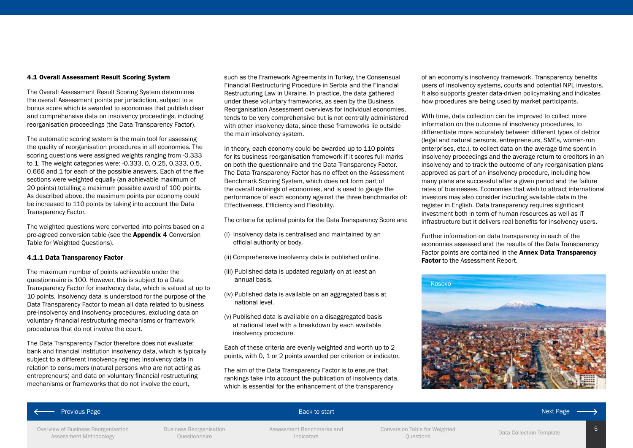### 4.1 Overall Assessment Result Scoring System

The Overall Assessment Result Scoring System determines the overall Assessment points per jurisdiction, subject to a bonus score which is awarded to economies that publish clear and comprehensive data on insolvency proceedings, including reorganisation proceedings (the Data Transparency Factor).

The automatic scoring system is the main tool for assessing the quality of reorganisation procedures in all economies. The scoring questions were assigned weights ranging from -0.333 to 1. The weight categories were: -0.333, 0, 0.25, 0.333, 0.5, 0.666 and 1 for each of the possible answers. Each of the five sections were weighted equally (an achievable maximum of 20 points) totalling a maximum possible award of 100 points. As described above, the maximum points per economy could be increased to 110 points by taking into account the Data Transparency Factor.

The weighted questions were converted into points based on a pre-agreed conversion table (see the [Appendix 4](#page-35-0) Conversion [Table for Weighted Questions](#page-35-0)).

### 4.1.1 Data Transparency Factor

The maximum number of points achievable under the questionnaire is 100. However, this is subject to a Data Transparency Factor for insolvency data, which is valued at up to 10 points. Insolvency data is understood for the purpose of the Data Transparency Factor to mean all data related to business pre-insolvency and insolvency procedures, excluding data on voluntary financial restructuring mechanisms or framework procedures that do not involve the court.

The Data Transparency Factor therefore does not evaluate: bank and financial institution insolvency data, which is typically subject to a different insolvency regime; insolvency data in relation to consumers (natural persons who are not acting as entrepreneurs) and data on voluntary financial restructuring mechanisms or frameworks that do not involve the court,

such as the Framework Agreements in Turkey, the Consensual Financial Restructuring Procedure in Serbia and the Financial Restructuring Law in Ukraine. In practice, the data gathered under these voluntary frameworks, as seen by the Business Reorganisation Assessment overviews for individual economies, tends to be very comprehensive but is not centrally administered with other insolvency data, since these frameworks lie outside the main insolvency system.

In theory, each economy could be awarded up to 110 points for its business reorganisation framework if it scores full marks on both the questionnaire and the Data Transparency Factor. The Data Transparency Factor has no effect on the Assessment Benchmark Scoring System, which does not form part of the overall rankings of economies, and is used to gauge the performance of each economy against the three benchmarks of: Effectiveness, Efficiency and Flexibility.

The criteria for optimal points for the Data Transparency Score are:

- (i) Insolvency data is centralised and maintained by an official authority or body.
- (ii) Comprehensive insolvency data is published online.
- (iii) Published data is updated regularly on at least an annual basis.
- (iv) Published data is available on an aggregated basis at national level.
- (v) Published data is available on a disaggregated basis at national level with a breakdown by each available insolvency procedure.

Each of these criteria are evenly weighted and worth up to 2 points, with 0, 1 or 2 points awarded per criterion or indicator.

The aim of the Data Transparency Factor is to ensure that rankings take into account the publication of insolvency data, which is essential for the enhancement of the transparency

of an economy's insolvency framework. Transparency benefits users of insolvency systems, courts and potential NPL investors. It also supports greater data-driven policymaking and indicates how procedures are being used by market participants.

With time, data collection can be improved to collect more information on the outcome of insolvency procedures, to differentiate more accurately between different types of debtor (legal and natural persons, entrepreneurs, SMEs, women-run enterprises, etc.), to collect data on the average time spent in insolvency proceedings and the average return to creditors in an insolvency and to track the outcome of any reorganisation plans approved as part of an insolvency procedure, including how many plans are successful after a given period and the failure rates of businesses. Economies that wish to attract international investors may also consider including available data in the register in English. Data transparency requires significant investment both in term of human resources as well as IT infrastructure but it delivers real benefits for insolvency users.

Further information on data transparency in each of the economies assessed and the results of the Data Transparency Factor points are contained in the **Annex Data Transparency** [Factor](https://www.ebrd-restructuring.com/storage/uploads/documents/3.pdf) to the Assessment Report.



### Previous Page Back to start Next Page Back to start Next Page Back to start Next Page Back of the Back to start

5

[Overview of Business Reorganisation](#page-6-0)  [Assessment Methodology](#page-6-0)

[Business Reorganisation](#page-7-0)  [Questionnaire](#page-7-0)

[Assessment Benchmarks and](#page-32-0)  [Indicators](#page-32-0)

Conversion Table for Weighted<br>Ouestions

[Data Collection Template](#page-36-0)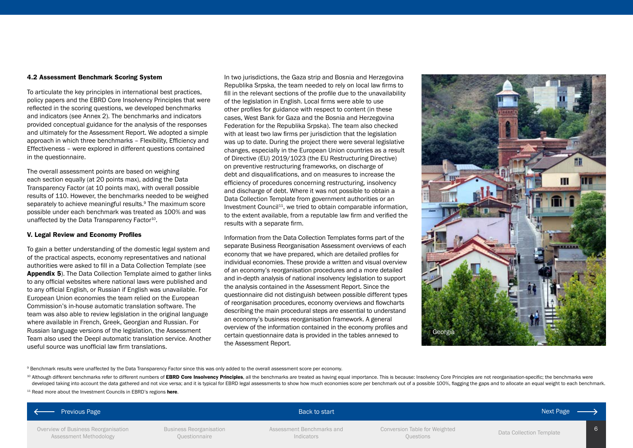### 4.2 Assessment Benchmark Scoring System

To articulate the key principles in international best practices, policy papers and the EBRD Core Insolvency Principles that were reflected in the scoring questions, we developed benchmarks and indicators (see Annex 2). The benchmarks and indicators provided conceptual guidance for the analysis of the responses and ultimately for the Assessment Report. We adopted a simple approach in which three benchmarks – Flexibility, Efficiency and Effectiveness – were explored in different questions contained in the questionnaire.

The overall assessment points are based on weighing each section equally (at 20 points max), adding the Data Transparency Factor (at 10 points max), with overall possible results of 110. However, the benchmarks needed to be weighed separately to achieve meaningful results.<sup>9</sup> The maximum score possible under each benchmark was treated as 100% and was unaffected by the Data Transparency Factor $10$ .

### V. Legal Review and Economy Profiles

To gain a better understanding of the domestic legal system and of the practical aspects, economy representatives and national authorities were asked to fill in a Data Collection Template (see [Appendix 5](#page-36-0)). The Data Collection Template aimed to gather links to any official websites where national laws were published and to any official English, or Russian if English was unavailable. For European Union economies the team relied on the European Commission's in-house automatic translation software. The team was also able to review legislation in the original language where available in French, Greek, Georgian and Russian. For Russian language versions of the legislation, the Assessment Team also used the Deepl automatic translation service. Another useful source was unofficial law firm translations.

In two jurisdictions, the Gaza strip and Bosnia and Herzegovina Republika Srpska, the team needed to rely on local law firms to fill in the relevant sections of the profile due to the unavailability of the legislation in English. Local firms were able to use other profiles for guidance with respect to content (in these cases, West Bank for Gaza and the Bosnia and Herzegovina Federation for the Republika Srpska). The team also checked with at least two law firms per jurisdiction that the legislation was up to date. During the project there were several legislative changes, especially in the European Union countries as a result of Directive (EU) 2019/1023 (the EU Restructuring Directive) on preventive restructuring frameworks, on discharge of debt and disqualifications, and on measures to increase the efficiency of procedures concerning restructuring, insolvency and discharge of debt. Where it was not possible to obtain a Data Collection Template from government authorities or an Investment Council<sup>11</sup>, we tried to obtain comparable information, to the extent available, from a reputable law firm and verified the results with a separate firm.

Information from the Data Collection Templates forms part of the separate Business Reorganisation Assessment overviews of each economy that we have prepared, which are detailed profiles for individual economies. These provide a written and visual overview of an economy's reorganisation procedures and a more detailed and in-depth analysis of national insolvency legislation to support the analysis contained in the Assessment Report. Since the questionnaire did not distinguish between possible different types of reorganisation procedures, economy overviews and flowcharts describing the main procedural steps are essential to understand an economy's business reorganisation framework. A general overview of the information contained in the economy profiles and certain questionnaire data is provided in the tables annexed to the Assessment Report.



9 Benchmark results were unaffected by the Data Transparency Factor since this was only added to the overall assessment score per economy.

<sup>10</sup> Although different benchmarks refer to different numbers of [EBRD Core Insolvency Principles](https://www.ebrd.com/legal-reform/ebrd-insolvency-coreprinciples.pdf), all the benchmarks are treated as having equal importance. This is because: Insolvency Core Principles are not reorganisatio developed taking into account the data gathered and not vice versa; and it is typical for EBRD legal assessments to show how much economies score per benchmark out of a possible 100%, flagging the gaps and to allocate an e

 $11$  Read more about the Investment Councils in EBRD's regions [here](https://www.ebrd.com/what-we-do/sectors-and-topics/investment-councils.html).

| ← Previous Page                                               |                                          | Back to start                           |                                            | Next Page ——             |  |
|---------------------------------------------------------------|------------------------------------------|-----------------------------------------|--------------------------------------------|--------------------------|--|
| Overview of Business Reorganisation<br>Assessment Methodology | Business Reorganisation<br>Questionnaire | Assessment Benchmarks and<br>Indicators | Conversion Table for Weighted<br>Questions | Data Collection Template |  |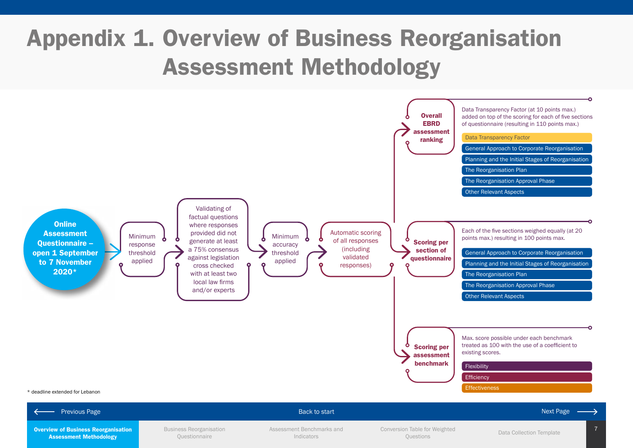# <span id="page-6-0"></span>Appendix 1. Overview of Business Reorganisation Assessment Methodology

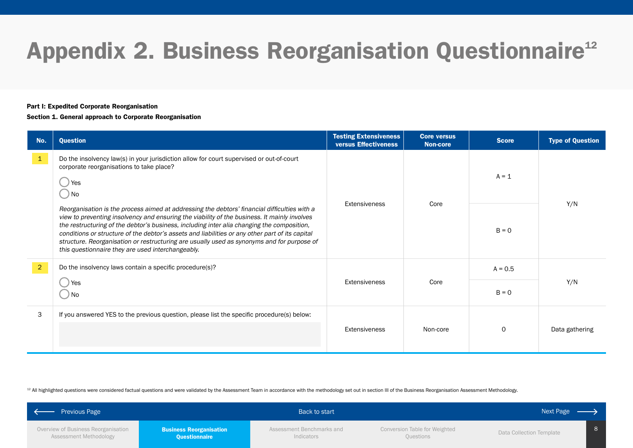# <span id="page-7-0"></span>Appendix 2. Business Reorganisation Questionnaire<sup>12</sup>

### Part I: Expedited Corporate Reorganisation

### Section 1. General approach to Corporate Reorganisation

| No.            | Question                                                                                                                                                                                                                                                                                                                                                                                                                                                                                                                                         | <b>Testing Extensiveness</b><br>versus Effectiveness | <b>Core versus</b><br><b>Non-core</b> | <b>Score</b> | <b>Type of Question</b> |     |
|----------------|--------------------------------------------------------------------------------------------------------------------------------------------------------------------------------------------------------------------------------------------------------------------------------------------------------------------------------------------------------------------------------------------------------------------------------------------------------------------------------------------------------------------------------------------------|------------------------------------------------------|---------------------------------------|--------------|-------------------------|-----|
| $\vert$ 1      | Do the insolvency law(s) in your jurisdiction allow for court supervised or out-of-court<br>corporate reorganisations to take place?<br>Yes<br>) No                                                                                                                                                                                                                                                                                                                                                                                              | Extensiveness                                        |                                       | $A = 1$      |                         |     |
|                | Reorganisation is the process aimed at addressing the debtors' financial difficulties with a<br>view to preventing insolvency and ensuring the viability of the business. It mainly involves<br>the restructuring of the debtor's business, including inter alia changing the composition,<br>conditions or structure of the debtor's assets and liabilities or any other part of its capital<br>structure. Reorganisation or restructuring are usually used as synonyms and for purpose of<br>this questionnaire they are used interchangeably. |                                                      | Core                                  | $B = 0$      | Y/N                     |     |
| $\overline{2}$ | Do the insolvency laws contain a specific procedure(s)?                                                                                                                                                                                                                                                                                                                                                                                                                                                                                          |                                                      |                                       | $A = 0.5$    |                         |     |
|                | Yes<br>) No                                                                                                                                                                                                                                                                                                                                                                                                                                                                                                                                      | Extensiveness                                        | Core                                  |              | $B = 0$                 | Y/N |
| 3              | If you answered YES to the previous question, please list the specific procedure(s) below:                                                                                                                                                                                                                                                                                                                                                                                                                                                       |                                                      |                                       |              |                         |     |
|                | Extensiveness                                                                                                                                                                                                                                                                                                                                                                                                                                                                                                                                    |                                                      | Non-core                              | $\circ$      | Data gathering          |     |

<sup>12</sup> All highlighted questions were considered factual questions and were validated by the Assessment Team in accordance with the methodology set out in section III of the Business Reorganisation Assessment Methodology.

| Previous Page                                                 | Back to start                                   |                                         |                                            | Next Page                |  |
|---------------------------------------------------------------|-------------------------------------------------|-----------------------------------------|--------------------------------------------|--------------------------|--|
| Overview of Business Reorganisation<br>Assessment Methodology | <b>Business Reorganisation</b><br>Questionnaire | Assessment Benchmarks and<br>Indicators | Conversion Table for Weighted<br>Questions | Data Collection Template |  |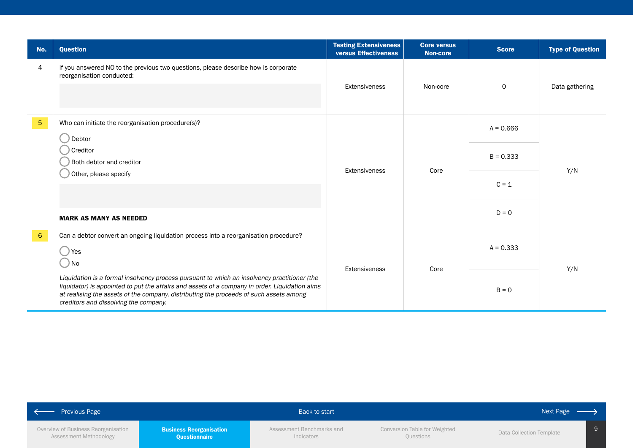| No.             | <b>Question</b>                                                                                                                                                                                                                                                                                                                   | <b>Testing Extensiveness</b><br><b>versus Effectiveness</b> | <b>Core versus</b><br><b>Non-core</b> | <b>Score</b> | <b>Type of Question</b> |
|-----------------|-----------------------------------------------------------------------------------------------------------------------------------------------------------------------------------------------------------------------------------------------------------------------------------------------------------------------------------|-------------------------------------------------------------|---------------------------------------|--------------|-------------------------|
| 4               | If you answered NO to the previous two questions, please describe how is corporate<br>reorganisation conducted:                                                                                                                                                                                                                   | Extensiveness                                               | Non-core                              | $\mathbf 0$  | Data gathering          |
| $5\phantom{.0}$ | Who can initiate the reorganisation procedure(s)?<br>Debtor                                                                                                                                                                                                                                                                       |                                                             |                                       | $A = 0.666$  |                         |
|                 | Creditor (<br>Both debtor and creditor                                                                                                                                                                                                                                                                                            | Extensiveness                                               | Core                                  | $B = 0.333$  | Y/N                     |
|                 | Other, please specify                                                                                                                                                                                                                                                                                                             |                                                             |                                       | $C = 1$      |                         |
|                 | <b>MARK AS MANY AS NEEDED</b>                                                                                                                                                                                                                                                                                                     |                                                             |                                       | $D = 0$      |                         |
| $6\overline{6}$ | Can a debtor convert an ongoing liquidation process into a reorganisation procedure?<br>) Yes<br>$\bigcirc$ No                                                                                                                                                                                                                    |                                                             | $A = 0.333$<br>Core<br>Extensiveness  |              | Y/N                     |
|                 | Liquidation is a formal insolvency process pursuant to which an insolvency practitioner (the<br>liquidator) is appointed to put the affairs and assets of a company in order. Liquidation aims<br>at realising the assets of the company, distributing the proceeds of such assets among<br>creditors and dissolving the company. |                                                             |                                       | $B = 0$      |                         |

| Previous Page                       | Back to start                  |                           | Next Page $\longrightarrow$   |                          |
|-------------------------------------|--------------------------------|---------------------------|-------------------------------|--------------------------|
| Overview of Business Reorganisation | <b>Business Reorganisation</b> | Assessment Benchmarks and | Conversion Table for Weighted | Data Collection Template |
| Assessment Methodology              | <b>Questionnaire</b>           | Indicators                | Questions                     |                          |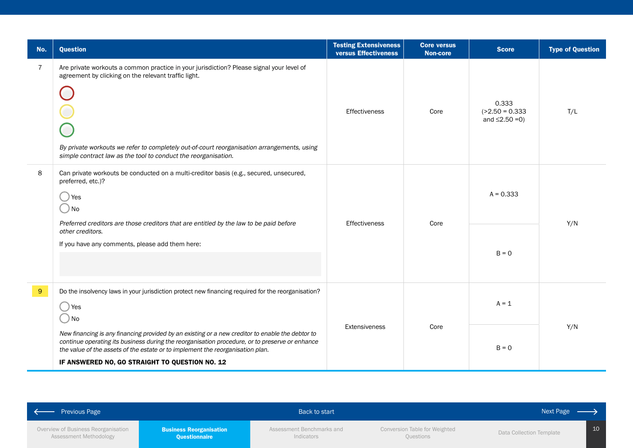| No.            | <b>Question</b>                                                                                                                                                                                                                                                                                                                        | <b>Testing Extensiveness</b><br><b>versus Effectiveness</b> | <b>Core versus</b><br><b>Non-core</b> | <b>Score</b>                                       | <b>Type of Question</b> |
|----------------|----------------------------------------------------------------------------------------------------------------------------------------------------------------------------------------------------------------------------------------------------------------------------------------------------------------------------------------|-------------------------------------------------------------|---------------------------------------|----------------------------------------------------|-------------------------|
| $\overline{7}$ | Are private workouts a common practice in your jurisdiction? Please signal your level of<br>agreement by clicking on the relevant traffic light.<br>By private workouts we refer to completely out-of-court reorganisation arrangements, using<br>simple contract law as the tool to conduct the reorganisation.                       | <b>Effectiveness</b>                                        | Core                                  | 0.333<br>$( > 2.50 = 0.333$<br>and $\leq$ 2.50 =0) | T/L                     |
| 8              | Can private workouts be conducted on a multi-creditor basis (e.g., secured, unsecured,<br>preferred, etc.)?<br>Yes<br>) No                                                                                                                                                                                                             |                                                             | Core                                  | $A = 0.333$<br>$B = 0$                             | Y/N                     |
|                | Preferred creditors are those creditors that are entitled by the law to be paid before<br>other creditors.<br>If you have any comments, please add them here:                                                                                                                                                                          | Effectiveness                                               |                                       |                                                    |                         |
| 9 <sup>°</sup> | Do the insolvency laws in your jurisdiction protect new financing required for the reorganisation?<br>Yes<br>) No                                                                                                                                                                                                                      |                                                             |                                       | $A = 1$                                            |                         |
|                | New financing is any financing provided by an existing or a new creditor to enable the debtor to<br>continue operating its business during the reorganisation procedure, or to preserve or enhance<br>the value of the assets of the estate or to implement the reorganisation plan.<br>IF ANSWERED NO, GO STRAIGHT TO QUESTION NO. 12 | Extensiveness                                               | Core                                  | $B = 0$                                            | Y/N                     |

| - Previous Page                                               |                                                 | Back to start                           |                                            | Next Page                |                 |
|---------------------------------------------------------------|-------------------------------------------------|-----------------------------------------|--------------------------------------------|--------------------------|-----------------|
| Overview of Business Reorganisation<br>Assessment Methodology | <b>Business Reorganisation</b><br>Questionnaire | Assessment Benchmarks and<br>Indicators | Conversion Table for Weighted<br>Questions | Data Collection Template | 10 <sup>°</sup> |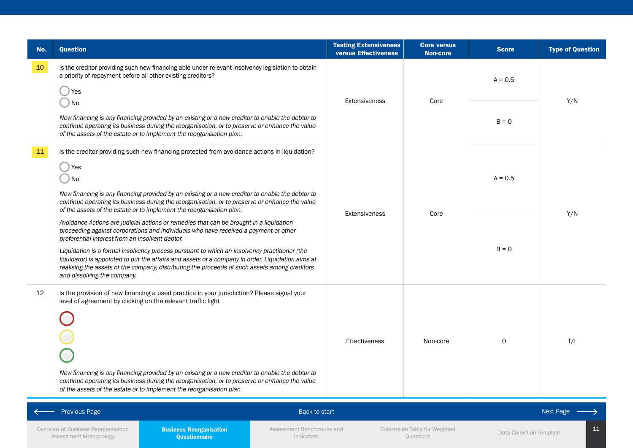| No.             | <b>Question</b>                                                                                                                                                                                                                                                                                                                   | <b>Testing Extensiveness</b><br>versus Effectiveness | <b>Core versus</b><br><b>Non-core</b>      | <b>Score</b>             | <b>Type of Question</b> |         |     |
|-----------------|-----------------------------------------------------------------------------------------------------------------------------------------------------------------------------------------------------------------------------------------------------------------------------------------------------------------------------------|------------------------------------------------------|--------------------------------------------|--------------------------|-------------------------|---------|-----|
| 10 <sub>1</sub> | Is the creditor providing such new financing able under relevant insolvency legislation to obtain<br>a priority of repayment before all other existing creditors?<br>Yes                                                                                                                                                          |                                                      |                                            | $A = 0.5$                |                         |         |     |
|                 | ) No                                                                                                                                                                                                                                                                                                                              | <b>Extensiveness</b>                                 | Core                                       |                          | Y/N                     |         |     |
|                 | New financing is any financing provided by an existing or a new creditor to enable the debtor to<br>continue operating its business during the reorganisation, or to preserve or enhance the value<br>of the assets of the estate or to implement the reorganisation plan.                                                        |                                                      |                                            |                          |                         | $B = 0$ |     |
| 11              | Is the creditor providing such new financing protected from avoidance actions in liquidation?                                                                                                                                                                                                                                     |                                                      |                                            |                          |                         |         |     |
|                 | ) Yes<br>) No                                                                                                                                                                                                                                                                                                                     |                                                      |                                            | $A = 0.5$                |                         |         |     |
|                 | New financing is any financing provided by an existing or a new creditor to enable the debtor to<br>continue operating its business during the reorganisation, or to preserve or enhance the value<br>of the assets of the estate or to implement the reorganisation plan.                                                        | Extensiveness                                        | Core                                       |                          |                         |         | Y/N |
|                 | Avoidance Actions are judicial actions or remedies that can be brought in a liquidation<br>proceeding against corporations and individuals who have received a payment or other<br>preferential interest from an insolvent debtor.                                                                                                |                                                      |                                            | $B = 0$                  |                         |         |     |
|                 | Liquidation is a formal insolvency process pursuant to which an insolvency practitioner (the<br>liquidator) is appointed to put the affairs and assets of a company in order. Liquidation aims at<br>realising the assets of the company, distributing the proceeds of such assets among creditors<br>and dissolving the company. |                                                      |                                            |                          |                         |         |     |
| 12              | Is the provision of new financing a used practice in your jurisdiction? Please signal your<br>level of agreement by clicking on the relevant traffic light                                                                                                                                                                        |                                                      |                                            |                          |                         |         |     |
|                 |                                                                                                                                                                                                                                                                                                                                   | <b>Effectiveness</b>                                 | Non-core                                   |                          | T/L                     |         |     |
|                 | New financing is any financing provided by an existing or a new creditor to enable the debtor to<br>continue operating its business during the reorganisation, or to preserve or enhance the value                                                                                                                                |                                                      |                                            |                          |                         |         |     |
|                 | of the assets of the estate or to implement the reorganisation plan.                                                                                                                                                                                                                                                              |                                                      |                                            |                          |                         |         |     |
|                 | <b>Previous Page</b><br><b>Back to start</b>                                                                                                                                                                                                                                                                                      |                                                      |                                            |                          | Next Page               |         |     |
|                 | Overview of Business Reorganisation<br><b>Business Reorganisation</b><br>Assessment Benchmarks and<br>Assessment Methodology<br><b>Questionnaire</b><br>Indicators                                                                                                                                                                |                                                      | Conversion Table for Weighted<br>Questions | Data Collection Template | 11                      |         |     |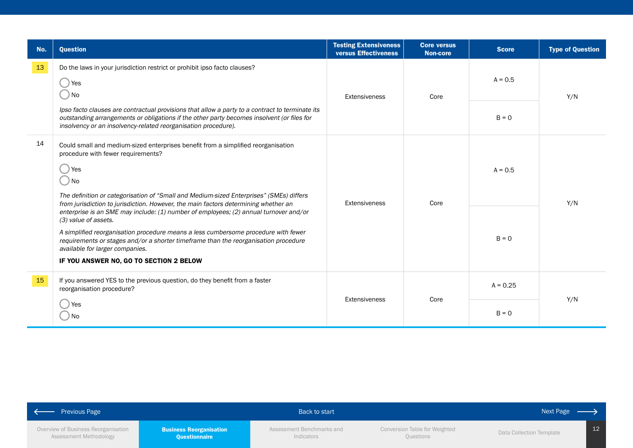| No.  | <b>Question</b>                                                                                                                                                                                                                                                                                                                                                          | <b>Testing Extensiveness</b><br><b>versus Effectiveness</b> | <b>Core versus</b><br><b>Non-core</b> | <b>Score</b>      | <b>Type of Question</b> |
|------|--------------------------------------------------------------------------------------------------------------------------------------------------------------------------------------------------------------------------------------------------------------------------------------------------------------------------------------------------------------------------|-------------------------------------------------------------|---------------------------------------|-------------------|-------------------------|
| $13$ | Do the laws in your jurisdiction restrict or prohibit ipso facto clauses?<br>Yes<br>. ) No                                                                                                                                                                                                                                                                               | <b>Extensiveness</b><br>Core                                |                                       | $A = 0.5$         | Y/N                     |
|      | Ipso facto clauses are contractual provisions that allow a party to a contract to terminate its<br>outstanding arrangements or obligations if the other party becomes insolvent (or files for<br>insolvency or an insolvency-related reorganisation procedure).                                                                                                          |                                                             |                                       | $B = 0$           |                         |
| 14   | Could small and medium-sized enterprises benefit from a simplified reorganisation<br>procedure with fewer requirements?<br>Yes<br>$\bigcirc$ No<br>The definition or categorisation of "Small and Medium-sized Enterprises" (SMEs) differs<br>from jurisdiction to jurisdiction. However, the main factors determining whether an                                        | <b>Extensiveness</b>                                        |                                       | $A = 0.5$<br>Core | Y/N                     |
|      | enterprise is an SME may include: (1) number of employees; (2) annual turnover and/or<br>(3) value of assets.<br>A simplified reorganisation procedure means a less cumbersome procedure with fewer<br>requirements or stages and/or a shorter timeframe than the reorganisation procedure<br>available for larger companies.<br>IF YOU ANSWER NO, GO TO SECTION 2 BELOW |                                                             |                                       | $B = 0$           |                         |
| 15   | If you answered YES to the previous question, do they benefit from a faster<br>reorganisation procedure?                                                                                                                                                                                                                                                                 |                                                             |                                       | $A = 0.25$        |                         |
|      | Yes<br><b>No</b>                                                                                                                                                                                                                                                                                                                                                         | Extensiveness                                               | Core                                  | $B = 0$           | Y/N                     |

| <b>Previous Page</b>                                          |                                                        | Back to start                           |                                            | Next Page $\longrightarrow$ |  |
|---------------------------------------------------------------|--------------------------------------------------------|-----------------------------------------|--------------------------------------------|-----------------------------|--|
| Overview of Business Reorganisation<br>Assessment Methodology | <b>Business Reorganisation</b><br><b>Questionnaire</b> | Assessment Benchmarks and<br>Indicators | Conversion Table for Weighted<br>Questions | Data Collection Template    |  |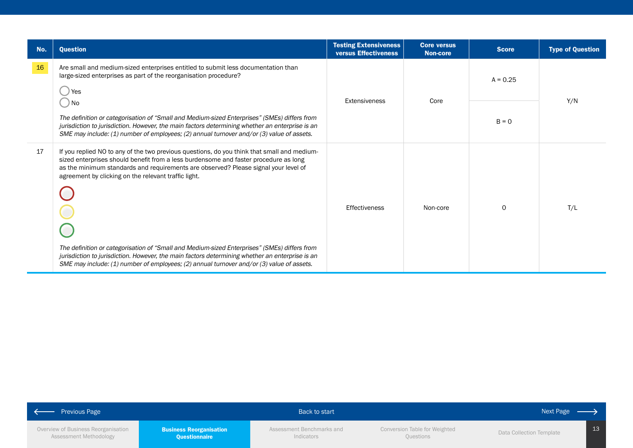| No. | <b>Question</b>                                                                                                                                                                                                                                                                                                                                                                                                                                                                                                                                                                                                                    | <b>Testing Extensiveness</b><br>versus Effectiveness | <b>Core versus</b><br>Non-core | <b>Score</b> | <b>Type of Question</b> |
|-----|------------------------------------------------------------------------------------------------------------------------------------------------------------------------------------------------------------------------------------------------------------------------------------------------------------------------------------------------------------------------------------------------------------------------------------------------------------------------------------------------------------------------------------------------------------------------------------------------------------------------------------|------------------------------------------------------|--------------------------------|--------------|-------------------------|
| 16  | Are small and medium-sized enterprises entitled to submit less documentation than<br>large-sized enterprises as part of the reorganisation procedure?<br>Yes                                                                                                                                                                                                                                                                                                                                                                                                                                                                       | Core<br>Extensiveness                                |                                | $A = 0.25$   | Y/N                     |
|     | ) No<br>The definition or categorisation of "Small and Medium-sized Enterprises" (SMEs) differs from<br>jurisdiction to jurisdiction. However, the main factors determining whether an enterprise is an<br>SME may include: (1) number of employees; (2) annual turnover and/or (3) value of assets.                                                                                                                                                                                                                                                                                                                               |                                                      |                                | $B = 0$      |                         |
| 17  | If you replied NO to any of the two previous questions, do you think that small and medium-<br>sized enterprises should benefit from a less burdensome and faster procedure as long<br>as the minimum standards and requirements are observed? Please signal your level of<br>agreement by clicking on the relevant traffic light.<br>The definition or categorisation of "Small and Medium-sized Enterprises" (SMEs) differs from<br>jurisdiction to jurisdiction. However, the main factors determining whether an enterprise is an<br>SME may include: (1) number of employees; (2) annual turnover and/or (3) value of assets. | Effectiveness                                        | Non-core                       | $\Omega$     | T/L                     |

| <b>Previous Page</b>                                          |                                                 | Back to start                           |                                                   | Next Page $\longrightarrow$ |    |
|---------------------------------------------------------------|-------------------------------------------------|-----------------------------------------|---------------------------------------------------|-----------------------------|----|
| Overview of Business Reorganisation<br>Assessment Methodology | <b>Business Reorganisation</b><br>Questionnaire | Assessment Benchmarks and<br>Indicators | <b>Conversion Table for Weighted</b><br>Questions | Data Collection Template    | 13 |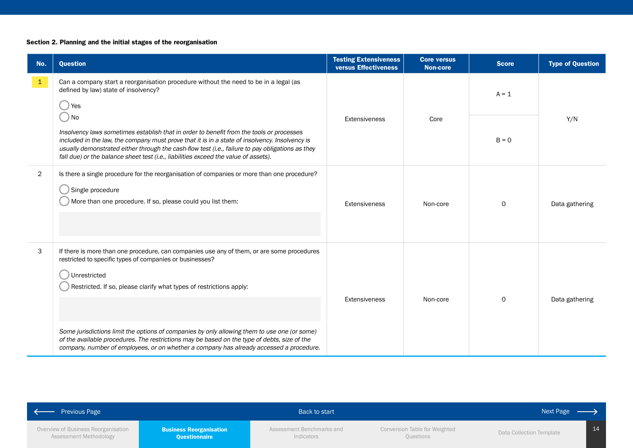## Section 2. Planning and the initial stages of the reorganisation

| No.            | <b>Question</b>                                                                                                                                                                                                                                                                                                                                                                       | <b>Testing Extensiveness</b><br><b>versus Effectiveness</b> | <b>Core versus</b><br>Non-core | <b>Score</b> | <b>Type of Question</b> |
|----------------|---------------------------------------------------------------------------------------------------------------------------------------------------------------------------------------------------------------------------------------------------------------------------------------------------------------------------------------------------------------------------------------|-------------------------------------------------------------|--------------------------------|--------------|-------------------------|
| $\mathbf{1}$   | Can a company start a reorganisation procedure without the need to be in a legal (as<br>defined by law) state of insolvency?                                                                                                                                                                                                                                                          |                                                             |                                | $A = 1$      | Y/N                     |
|                | ) Yes<br>$)$ No                                                                                                                                                                                                                                                                                                                                                                       | Extensiveness                                               | Core                           |              |                         |
|                | Insolvency laws sometimes establish that in order to benefit from the tools or processes<br>included in the law, the company must prove that it is in a state of insolvency. Insolvency is<br>usually demonstrated either through the cash-flow test (i.e., failure to pay obligations as they<br>fall due) or the balance sheet test (i.e., liabilities exceed the value of assets). |                                                             |                                | $B = 0$      |                         |
| $\overline{2}$ | Is there a single procedure for the reorganisation of companies or more than one procedure?<br>Single procedure<br>More than one procedure. If so, please could you list them:                                                                                                                                                                                                        | Extensiveness                                               | Non-core                       | $\Omega$     | Data gathering          |
| 3              | If there is more than one procedure, can companies use any of them, or are some procedures<br>restricted to specific types of companies or businesses?<br>Unrestricted<br>Restricted. If so, please clarify what types of restrictions apply:                                                                                                                                         | <b>Extensiveness</b>                                        | Non-core                       | $\mathsf{O}$ | Data gathering          |
|                | Some jurisdictions limit the options of companies by only allowing them to use one (or some)<br>of the available procedures. The restrictions may be based on the type of debts, size of the<br>company, number of employees, or on whether a company has already accessed a procedure.                                                                                               |                                                             |                                |              |                         |

| $\rightarrow$<br>- Previous Page                              |                                                 | Back to start                           |                                            | Next Page $\overline{\phantom{a}}$ |    |
|---------------------------------------------------------------|-------------------------------------------------|-----------------------------------------|--------------------------------------------|------------------------------------|----|
| Overview of Business Reorganisation<br>Assessment Methodology | <b>Business Reorganisation</b><br>Questionnaire | Assessment Benchmarks and<br>Indicators | Conversion Table for Weighted<br>Questions | Data Collection Template           | 14 |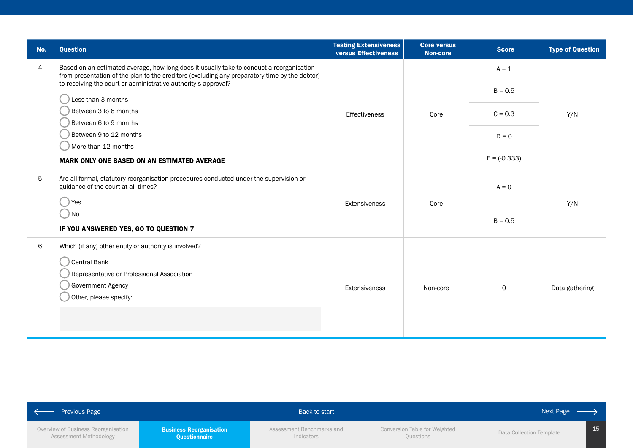| No. | <b>Question</b>                                                                                                                                                                           | <b>Testing Extensiveness</b><br>versus Effectiveness | <b>Core versus</b><br><b>Non-core</b> | <b>Score</b>   | <b>Type of Question</b> |     |
|-----|-------------------------------------------------------------------------------------------------------------------------------------------------------------------------------------------|------------------------------------------------------|---------------------------------------|----------------|-------------------------|-----|
| 4   | Based on an estimated average, how long does it usually take to conduct a reorganisation<br>from presentation of the plan to the creditors (excluding any preparatory time by the debtor) |                                                      |                                       | $A = 1$        |                         |     |
|     | to receiving the court or administrative authority's approval?                                                                                                                            |                                                      |                                       | $B = 0.5$      |                         |     |
|     | Less than 3 months<br>Between 3 to 6 months                                                                                                                                               | Effectiveness                                        | Core                                  | $C = 0.3$      | Y/N                     |     |
|     | Between 6 to 9 months<br>Between 9 to 12 months                                                                                                                                           |                                                      |                                       |                |                         |     |
|     | More than 12 months                                                                                                                                                                       |                                                      |                                       | $D = 0$        |                         |     |
|     | <b>MARK ONLY ONE BASED ON AN ESTIMATED AVERAGE</b>                                                                                                                                        |                                                      |                                       | $E = (-0.333)$ |                         |     |
| 5   | Are all formal, statutory reorganisation procedures conducted under the supervision or<br>guidance of the court at all times?                                                             | <b>Extensiveness</b>                                 |                                       | $A = 0$        |                         |     |
|     | res ) Yes                                                                                                                                                                                 |                                                      | Core                                  |                |                         | Y/N |
|     | $\bigcirc$ No                                                                                                                                                                             |                                                      |                                       |                | $B = 0.5$               |     |
|     | IF YOU ANSWERED YES, GO TO QUESTION 7                                                                                                                                                     |                                                      |                                       |                |                         |     |
| 6   | Which (if any) other entity or authority is involved?<br>Central Bank<br>Representative or Professional Association<br>Government Agency<br>Other, please specify:                        | Extensiveness                                        | Non-core                              | $\mathsf{O}$   | Data gathering          |     |
|     |                                                                                                                                                                                           |                                                      |                                       |                |                         |     |

| Previous Page                       |                                | Back to start             |                               | Next Page $\longrightarrow$ |
|-------------------------------------|--------------------------------|---------------------------|-------------------------------|-----------------------------|
| Overview of Business Reorganisation | <b>Business Reorganisation</b> | Assessment Benchmarks and | Conversion Table for Weighted | Data Collection Template    |
| Assessment Methodology              | <b>Questionnaire</b>           | Indicators                | Questions                     |                             |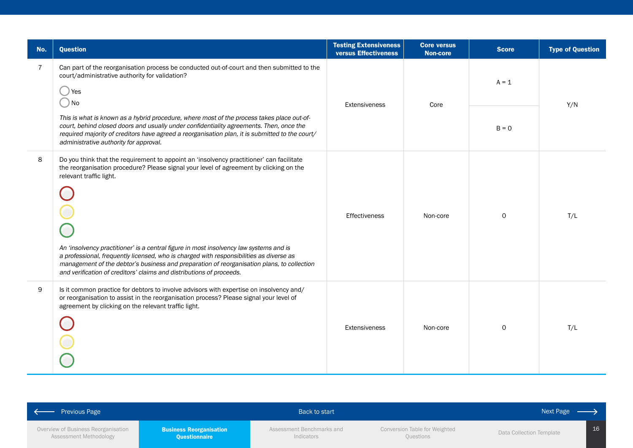| No.            | <b>Question</b>                                                                                                                                                                                                                                                                                                                                                                                                                                                                                                                                                          | <b>Testing Extensiveness</b><br><b>versus Effectiveness</b> | <b>Core versus</b><br><b>Non-core</b> | <b>Score</b> | <b>Type of Question</b> |
|----------------|--------------------------------------------------------------------------------------------------------------------------------------------------------------------------------------------------------------------------------------------------------------------------------------------------------------------------------------------------------------------------------------------------------------------------------------------------------------------------------------------------------------------------------------------------------------------------|-------------------------------------------------------------|---------------------------------------|--------------|-------------------------|
| $\overline{7}$ | Can part of the reorganisation process be conducted out-of-court and then submitted to the<br>court/administrative authority for validation?<br>Yes<br><b>No</b>                                                                                                                                                                                                                                                                                                                                                                                                         |                                                             | Core                                  | $A = 1$      | Y/N                     |
|                | This is what is known as a hybrid procedure, where most of the process takes place out-of-<br>court, behind closed doors and usually under confidentiality agreements. Then, once the<br>required majority of creditors have agreed a reorganisation plan, it is submitted to the court/<br>administrative authority for approval.                                                                                                                                                                                                                                       | Extensiveness                                               |                                       | $B = 0$      |                         |
| 8              | Do you think that the requirement to appoint an 'insolvency practitioner' can facilitate<br>the reorganisation procedure? Please signal your level of agreement by clicking on the<br>relevant traffic light.<br>An 'insolvency practitioner' is a central figure in most insolvency law systems and is<br>a professional, frequently licensed, who is charged with responsibilities as diverse as<br>management of the debtor's business and preparation of reorganisation plans, to collection<br>and verification of creditors' claims and distributions of proceeds. | <b>Effectiveness</b>                                        | Non-core                              | $\mathbf 0$  | T/L                     |
| 9              | Is it common practice for debtors to involve advisors with expertise on insolvency and/<br>or reorganisation to assist in the reorganisation process? Please signal your level of<br>agreement by clicking on the relevant traffic light.                                                                                                                                                                                                                                                                                                                                | <b>Extensiveness</b>                                        | Non-core                              | $\mathbf 0$  | T/L                     |

| <b>Previous Page</b>                |                                | Back to start             |                               | Next Page                |
|-------------------------------------|--------------------------------|---------------------------|-------------------------------|--------------------------|
| Overview of Business Reorganisation | <b>Business Reorganisation</b> | Assessment Benchmarks and | Conversion Table for Weighted | Data Collection Template |
| Assessment Methodology              | <b>Ouestionnaire</b>           | Indicators                | Questions                     |                          |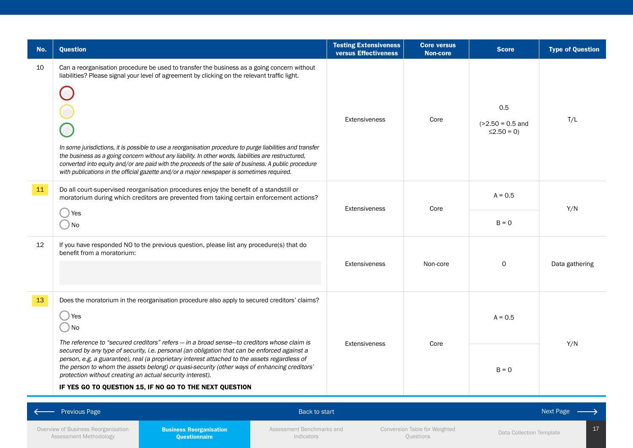| No. | <b>Question</b>                                                                                                                                                                                                                                                                                                                                                                                                                                                                                                                                                                                                      | <b>Testing Extensiveness</b><br>versus Effectiveness | <b>Core versus</b><br><b>Non-core</b>      | <b>Score</b>                                    | <b>Type of Question</b> |
|-----|----------------------------------------------------------------------------------------------------------------------------------------------------------------------------------------------------------------------------------------------------------------------------------------------------------------------------------------------------------------------------------------------------------------------------------------------------------------------------------------------------------------------------------------------------------------------------------------------------------------------|------------------------------------------------------|--------------------------------------------|-------------------------------------------------|-------------------------|
| 10  | Can a reorganisation procedure be used to transfer the business as a going concern without<br>liabilities? Please signal your level of agreement by clicking on the relevant traffic light.<br>In some jurisdictions, it is possible to use a reorganisation procedure to purge liabilities and transfer<br>the business as a going concern without any liability. In other words, liabilities are restructured,<br>converted into equity and/or are paid with the proceeds of the sale of business. A public procedure<br>with publications in the official gazette and/or a major newspaper is sometimes required. | <b>Extensiveness</b>                                 | Core                                       | 0.5<br>$( > 2.50 = 0.5$ and<br>$\leq$ 2.50 = 0) | T/L                     |
| 11  | Do all court-supervised reorganisation procedures enjoy the benefit of a standstill or<br>moratorium during which creditors are prevented from taking certain enforcement actions?<br>) Yes                                                                                                                                                                                                                                                                                                                                                                                                                          | <b>Extensiveness</b>                                 | Core                                       | $A = 0.5$                                       | Y/N                     |
|     | $\bigcirc$ No                                                                                                                                                                                                                                                                                                                                                                                                                                                                                                                                                                                                        |                                                      |                                            | $B = 0$                                         |                         |
| 12  | If you have responded NO to the previous question, please list any procedure(s) that do<br>benefit from a moratorium:                                                                                                                                                                                                                                                                                                                                                                                                                                                                                                | Extensiveness                                        | Non-core                                   | 0                                               | Data gathering          |
| 13  | Does the moratorium in the reorganisation procedure also apply to secured creditors' claims?<br>$\big)$ Yes<br>$\bigcirc$ No<br>The reference to "secured creditors" refers – in a broad sense-to creditors whose claim is                                                                                                                                                                                                                                                                                                                                                                                           |                                                      | Core                                       | $A = 0.5$                                       | Y/N                     |
|     | secured by any type of security, i.e. personal (an obligation that can be enforced against a<br>person, e.g. a guarantee), real (a proprietary interest attached to the assets regardless of<br>the person to whom the assets belong) or quasi-security (other ways of enhancing creditors'<br>protection without creating an actual security interest).<br>IF YES GO TO QUESTION 15, IF NO GO TO THE NEXT QUESTION                                                                                                                                                                                                  | <b>Extensiveness</b>                                 |                                            | $B = 0$                                         |                         |
|     | Previous Page<br>Back to start                                                                                                                                                                                                                                                                                                                                                                                                                                                                                                                                                                                       |                                                      |                                            |                                                 | Next Page               |
|     | Overview of Business Reorganisation<br><b>Business Reorganisation</b><br>Assessment Benchmarks and<br>Assessment Methodology<br>Questionnaire<br>Indicators                                                                                                                                                                                                                                                                                                                                                                                                                                                          |                                                      | Conversion Table for Weighted<br>Questions | Data Collection Template                        | 17                      |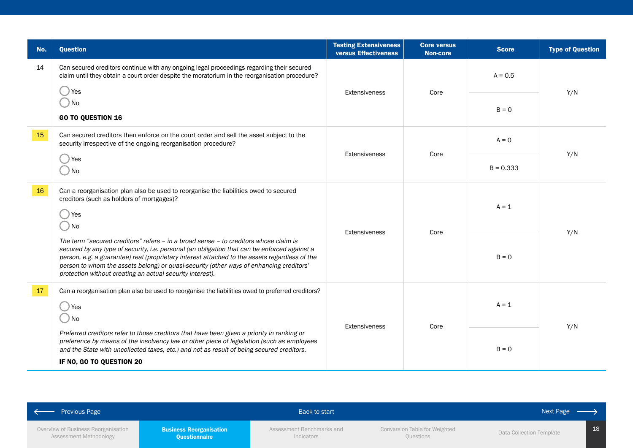| No. | Question                                                                                                                                                                                                                                                                                                                                                                                                                                      | <b>Testing Extensiveness</b><br><b>versus Effectiveness</b> | <b>Core versus</b><br><b>Non-core</b> | <b>Score</b> | <b>Type of Question</b> |
|-----|-----------------------------------------------------------------------------------------------------------------------------------------------------------------------------------------------------------------------------------------------------------------------------------------------------------------------------------------------------------------------------------------------------------------------------------------------|-------------------------------------------------------------|---------------------------------------|--------------|-------------------------|
| 14  | Can secured creditors continue with any ongoing legal proceedings regarding their secured<br>claim until they obtain a court order despite the moratorium in the reorganisation procedure?<br>Yes                                                                                                                                                                                                                                             | <b>Extensiveness</b>                                        | Core                                  | $A = 0.5$    | Y/N                     |
|     | ) No<br><b>GO TO QUESTION 16</b>                                                                                                                                                                                                                                                                                                                                                                                                              |                                                             |                                       | $B = 0$      |                         |
| 15  | Can secured creditors then enforce on the court order and sell the asset subject to the<br>security irrespective of the ongoing reorganisation procedure?                                                                                                                                                                                                                                                                                     | <b>Extensiveness</b>                                        | Core                                  | $A = 0$      |                         |
|     | Yes<br>) No                                                                                                                                                                                                                                                                                                                                                                                                                                   |                                                             |                                       | $B = 0.333$  | Y/N                     |
| 16  | Can a reorganisation plan also be used to reorganise the liabilities owed to secured<br>creditors (such as holders of mortgages)?<br>Yes<br>) No                                                                                                                                                                                                                                                                                              | <b>Extensiveness</b>                                        | Core                                  | $A = 1$      | Y/N<br>Y/N              |
|     | The term "secured creditors" refers - in a broad sense - to creditors whose claim is<br>secured by any type of security, i.e. personal (an obligation that can be enforced against a<br>person, e.g. a guarantee) real (proprietary interest attached to the assets regardless of the<br>person to whom the assets belong) or quasi-security (other ways of enhancing creditors'<br>protection without creating an actual security interest). |                                                             |                                       | $B = 0$      |                         |
| 17  | Can a reorganisation plan also be used to reorganise the liabilities owed to preferred creditors?<br>) Yes<br>) No                                                                                                                                                                                                                                                                                                                            |                                                             | Core                                  | $A = 1$      |                         |
|     | Preferred creditors refer to those creditors that have been given a priority in ranking or<br>preference by means of the insolvency law or other piece of legislation (such as employees<br>and the State with uncollected taxes, etc.) and not as result of being secured creditors.<br>IF NO, GO TO QUESTION 20                                                                                                                             | <b>Extensiveness</b>                                        |                                       | $B = 0$      |                         |

| Previous Page                                                 |                                                        | Back to start                           |                                            | Next Page                |  |
|---------------------------------------------------------------|--------------------------------------------------------|-----------------------------------------|--------------------------------------------|--------------------------|--|
| Overview of Business Reorganisation<br>Assessment Methodology | <b>Business Reorganisation</b><br><b>Questionnaire</b> | Assessment Benchmarks and<br>Indicators | Conversion Table for Weighted<br>Questions | Data Collection Template |  |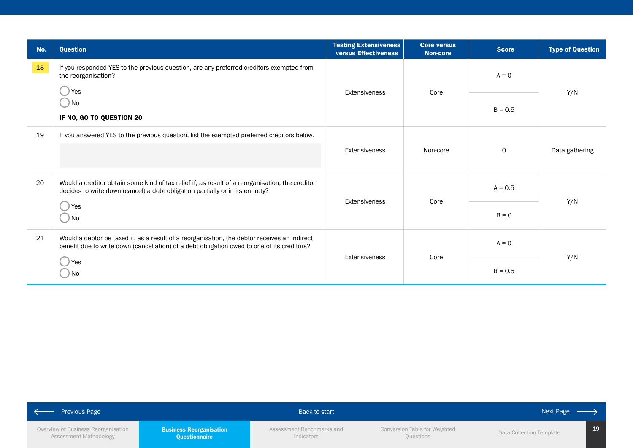| No. | <b>Question</b>                                                                                                                                                                             | <b>Testing Extensiveness</b><br>versus Effectiveness | <b>Core versus</b><br><b>Non-core</b> | <b>Score</b> | <b>Type of Question</b> |  |
|-----|---------------------------------------------------------------------------------------------------------------------------------------------------------------------------------------------|------------------------------------------------------|---------------------------------------|--------------|-------------------------|--|
| 18  | If you responded YES to the previous question, are any preferred creditors exempted from<br>the reorganisation?                                                                             |                                                      |                                       | $A = 0$      |                         |  |
|     | Yes<br>. ) No<br>IF NO, GO TO QUESTION 20                                                                                                                                                   | Extensiveness                                        | Core                                  | $B = 0.5$    | Y/N                     |  |
| 19  | If you answered YES to the previous question, list the exempted preferred creditors below.                                                                                                  |                                                      |                                       |              | Data gathering          |  |
|     |                                                                                                                                                                                             | <b>Extensiveness</b>                                 | Non-core                              | $\mathsf{O}$ |                         |  |
| 20  | Would a creditor obtain some kind of tax relief if, as result of a reorganisation, the creditor<br>decides to write down (cancel) a debt obligation partially or in its entirety?           | Core                                                 | $A = 0.5$                             |              |                         |  |
|     | Yes<br>) No                                                                                                                                                                                 | <b>Extensiveness</b>                                 |                                       | $B = 0$      | Y/N                     |  |
| 21  | Would a debtor be taxed if, as a result of a reorganisation, the debtor receives an indirect<br>benefit due to write down (cancellation) of a debt obligation owed to one of its creditors? |                                                      | $A = 0$                               |              |                         |  |
|     | Yes<br>) No                                                                                                                                                                                 | <b>Extensiveness</b>                                 | Core                                  | $B = 0.5$    | Y/N                     |  |

| <b>Previous Page</b>                                          |                                                 | Back to start                           |                                            | Next Page $-\frac{1}{2}$ |    |
|---------------------------------------------------------------|-------------------------------------------------|-----------------------------------------|--------------------------------------------|--------------------------|----|
| Overview of Business Reorganisation<br>Assessment Methodology | <b>Business Reorganisation</b><br>Questionnaire | Assessment Benchmarks and<br>Indicators | Conversion Table for Weighted<br>Questions | Data Collection Template | 19 |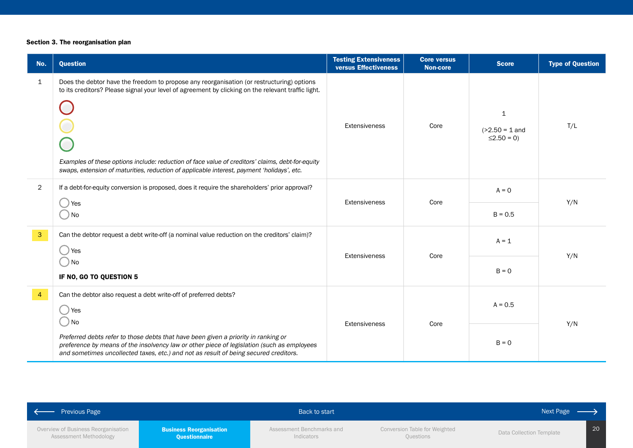## Section 3. The reorganisation plan

| No.            | <b>Question</b>                                                                                                                                                                                                                                                                                                                                                                                   | <b>Testing Extensiveness</b><br>versus Effectiveness | <b>Core versus</b><br><b>Non-core</b> | <b>Score</b>                                          | <b>Type of Question</b> |
|----------------|---------------------------------------------------------------------------------------------------------------------------------------------------------------------------------------------------------------------------------------------------------------------------------------------------------------------------------------------------------------------------------------------------|------------------------------------------------------|---------------------------------------|-------------------------------------------------------|-------------------------|
| $\mathbf{1}$   | Does the debtor have the freedom to propose any reorganisation (or restructuring) options<br>to its creditors? Please signal your level of agreement by clicking on the relevant traffic light.<br>Examples of these options include: reduction of face value of creditors' claims, debt-for-equity<br>swaps, extension of maturities, reduction of applicable interest, payment 'holidays', etc. | Extensiveness                                        | Core                                  | $\mathbf{1}$<br>$( >2.50 = 1$ and<br>$\leq$ 2.50 = 0) | T/L                     |
| $\overline{2}$ | If a debt-for-equity conversion is proposed, does it require the shareholders' prior approval?                                                                                                                                                                                                                                                                                                    |                                                      |                                       | $A = 0$<br>$B = 0.5$                                  | Y/N                     |
|                | Yes<br>) No                                                                                                                                                                                                                                                                                                                                                                                       | Extensiveness                                        | Core                                  |                                                       |                         |
| $\mathbf{3}$   | Can the debtor request a debt write-off (a nominal value reduction on the creditors' claim)?<br>Yes                                                                                                                                                                                                                                                                                               |                                                      |                                       | $A = 1$                                               |                         |
|                | ) No<br>IF NO, GO TO QUESTION 5                                                                                                                                                                                                                                                                                                                                                                   | Extensiveness                                        | Core                                  | $B = 0$                                               | Y/N                     |
| $\overline{4}$ | Can the debtor also request a debt write-off of preferred debts?<br>Yes<br>) No                                                                                                                                                                                                                                                                                                                   |                                                      |                                       | $A = 0.5$                                             | Y/N                     |
|                | Preferred debts refer to those debts that have been given a priority in ranking or<br>preference by means of the insolvency law or other piece of legislation (such as employees<br>and sometimes uncollected taxes, etc.) and not as result of being secured creditors.                                                                                                                          | Extensiveness                                        | Core                                  | $B = 0$                                               |                         |

| $\leftrightarrow$ Previous Page                               |                                                 | Back to start                           |                                            | Next Page                |  |
|---------------------------------------------------------------|-------------------------------------------------|-----------------------------------------|--------------------------------------------|--------------------------|--|
| Overview of Business Reorganisation<br>Assessment Methodology | <b>Business Reorganisation</b><br>Questionnaire | Assessment Benchmarks and<br>Indicators | Conversion Table for Weighted<br>Questions | Data Collection Template |  |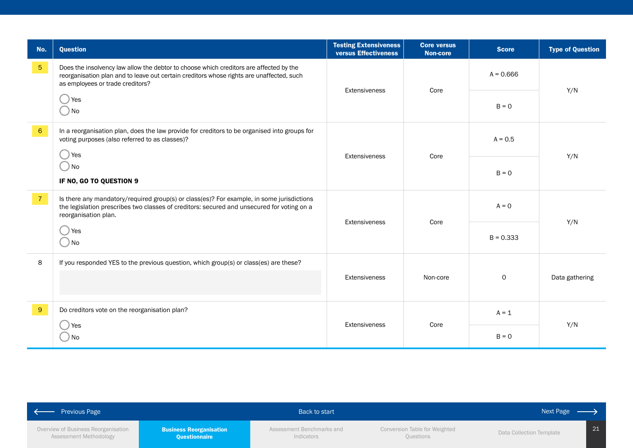| No.             | <b>Question</b>                                                                                                                                                                                                        | <b>Testing Extensiveness</b><br>versus Effectiveness | <b>Core versus</b><br><b>Non-core</b> | <b>Score</b> | <b>Type of Question</b> |  |
|-----------------|------------------------------------------------------------------------------------------------------------------------------------------------------------------------------------------------------------------------|------------------------------------------------------|---------------------------------------|--------------|-------------------------|--|
| 5 <sub>5</sub>  | Does the insolvency law allow the debtor to choose which creditors are affected by the<br>reorganisation plan and to leave out certain creditors whose rights are unaffected, such<br>as employees or trade creditors? | Extensiveness                                        | Core                                  | $A = 0.666$  |                         |  |
|                 | Yes<br>$\Box$ No                                                                                                                                                                                                       |                                                      |                                       | $B = 0$      | Y/N                     |  |
| $6\overline{6}$ | In a reorganisation plan, does the law provide for creditors to be organised into groups for<br>voting purposes (also referred to as classes)?                                                                         |                                                      |                                       | $A = 0.5$    |                         |  |
|                 | Yes<br>$\bigcirc$ No<br>IF NO, GO TO QUESTION 9                                                                                                                                                                        | <b>Extensiveness</b>                                 | Core                                  | $B = 0$      | Y/N                     |  |
| $\overline{7}$  | Is there any mandatory/required group(s) or class(es)? For example, in some jurisdictions<br>the legislation prescribes two classes of creditors: secured and unsecured for voting on a<br>reorganisation plan.        | <b>Extensiveness</b>                                 |                                       | $A = 0$      | Y/N                     |  |
|                 | Yes<br>D No                                                                                                                                                                                                            |                                                      | Core                                  | $B = 0.333$  |                         |  |
| 8               | If you responded YES to the previous question, which group(s) or class(es) are these?                                                                                                                                  | <b>Extensiveness</b>                                 | Non-core                              | $\mathsf{O}$ | Data gathering          |  |
|                 |                                                                                                                                                                                                                        |                                                      |                                       |              |                         |  |
| 9 <sup>°</sup>  | Do creditors vote on the reorganisation plan?                                                                                                                                                                          | Extensiveness                                        | Core                                  | $A = 1$      |                         |  |
|                 | Yes<br>No                                                                                                                                                                                                              |                                                      |                                       | $B = 0$      | Y/N                     |  |

| Previous Page                                                 |                                                 | Back to start                           |                                            | Next Page                |    |
|---------------------------------------------------------------|-------------------------------------------------|-----------------------------------------|--------------------------------------------|--------------------------|----|
| Overview of Business Reorganisation<br>Assessment Methodology | <b>Business Reorganisation</b><br>Questionnaire | Assessment Benchmarks and<br>Indicators | Conversion Table for Weighted<br>Questions | Data Collection Template | 21 |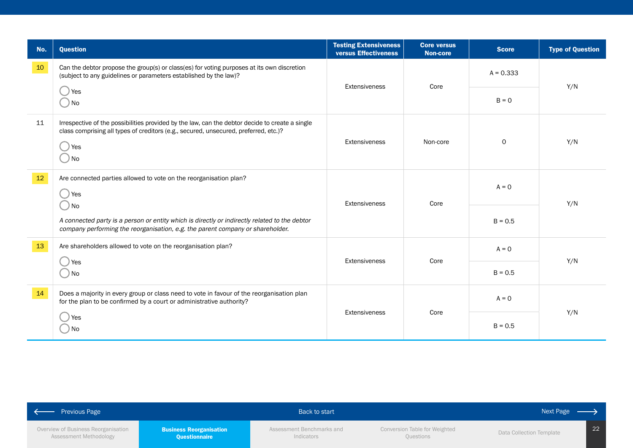| No.    | <b>Question</b>                                                                                                                                                                                                           | <b>Testing Extensiveness</b><br>versus Effectiveness | <b>Core versus</b><br><b>Non-core</b> | <b>Score</b> | <b>Type of Question</b> |  |
|--------|---------------------------------------------------------------------------------------------------------------------------------------------------------------------------------------------------------------------------|------------------------------------------------------|---------------------------------------|--------------|-------------------------|--|
| $10\,$ | Can the debtor propose the group(s) or class(es) for voting purposes at its own discretion<br>(subject to any guidelines or parameters established by the law)?                                                           |                                                      |                                       | $A = 0.333$  |                         |  |
|        | () Yes<br>$\bigcirc$ No                                                                                                                                                                                                   | Extensiveness                                        | Core                                  | $B = 0$      | Y/N                     |  |
| 11     | Irrespective of the possibilities provided by the law, can the debtor decide to create a single<br>class comprising all types of creditors (e.g., secured, unsecured, preferred, etc.)?<br>Yes<br>$\Box$<br>$\bigcirc$ No | Extensiveness                                        | Non-core                              | 0            | Y/N                     |  |
| $12\,$ | Are connected parties allowed to vote on the reorganisation plan?<br>() Yes                                                                                                                                               |                                                      | Core                                  | $A = 0$      | Y/N                     |  |
|        | $\bigcirc$ No<br>A connected party is a person or entity which is directly or indirectly related to the debtor<br>company performing the reorganisation, e.g. the parent company or shareholder.                          | Extensiveness                                        |                                       | $B = 0.5$    |                         |  |
| 13     | Are shareholders allowed to vote on the reorganisation plan?                                                                                                                                                              |                                                      |                                       | $A = 0$      |                         |  |
|        | Yes<br>$\Box$ No                                                                                                                                                                                                          |                                                      | Core<br>Extensiveness                 |              | Y/N                     |  |
| 14     | Does a majority in every group or class need to vote in favour of the reorganisation plan<br>for the plan to be confirmed by a court or administrative authority?                                                         |                                                      |                                       | $A = 0$      |                         |  |
|        | Yes<br><b>No</b>                                                                                                                                                                                                          | Extensiveness                                        | Core                                  | $B = 0.5$    | Y/N                     |  |

| <b>Previous Page</b>                |                                | Back to start             |                               | Next Page $\longrightarrow$ |
|-------------------------------------|--------------------------------|---------------------------|-------------------------------|-----------------------------|
| Overview of Business Reorganisation | <b>Business Reorganisation</b> | Assessment Benchmarks and | Conversion Table for Weighted | Data Collection Template    |
| Assessment Methodology              | <b>Questionnaire</b>           | Indicators                | Questions                     |                             |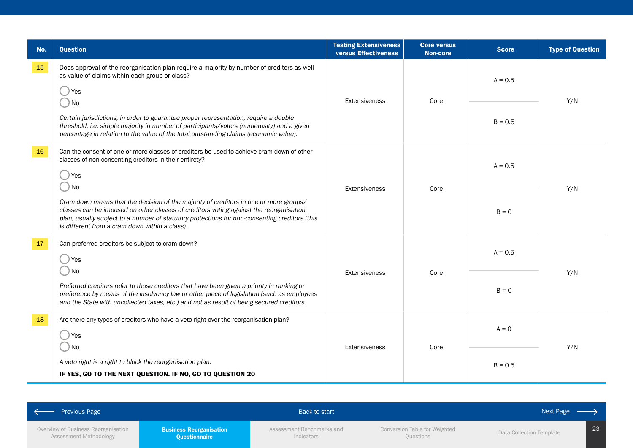| No. | <b>Question</b>                                                                                                                                                                                                                                                                                                                    | <b>Testing Extensiveness</b><br>versus Effectiveness | <b>Core versus</b><br><b>Non-core</b> | <b>Score</b> | <b>Type of Question</b> |  |     |
|-----|------------------------------------------------------------------------------------------------------------------------------------------------------------------------------------------------------------------------------------------------------------------------------------------------------------------------------------|------------------------------------------------------|---------------------------------------|--------------|-------------------------|--|-----|
| 15  | Does approval of the reorganisation plan require a majority by number of creditors as well<br>as value of claims within each group or class?<br>Yes                                                                                                                                                                                |                                                      |                                       | $A = 0.5$    |                         |  |     |
|     | No<br>Certain jurisdictions, in order to guarantee proper representation, require a double<br>threshold, i.e. simple majority in number of participants/voters (numerosity) and a given<br>percentage in relation to the value of the total outstanding claims (economic value).                                                   | Extensiveness                                        | Core                                  | $B = 0.5$    | Y/N                     |  |     |
| 16  | Can the consent of one or more classes of creditors be used to achieve cram down of other<br>classes of non-consenting creditors in their entirety?<br>Yes<br>No                                                                                                                                                                   |                                                      |                                       |              | $A = 0.5$<br>Core       |  | Y/N |
|     | Cram down means that the decision of the majority of creditors in one or more groups/<br>classes can be imposed on other classes of creditors voting against the reorganisation<br>plan, usually subject to a number of statutory protections for non-consenting creditors (this<br>is different from a cram down within a class). | <b>Extensiveness</b>                                 |                                       | $B = 0$      |                         |  |     |
| 17  | Can preferred creditors be subject to cram down?<br>Yes                                                                                                                                                                                                                                                                            | Extensiveness                                        |                                       | $A = 0.5$    |                         |  |     |
|     | ) No<br>Preferred creditors refer to those creditors that have been given a priority in ranking or<br>preference by means of the insolvency law or other piece of legislation (such as employees<br>and the State with uncollected taxes, etc.) and not as result of being secured creditors.                                      |                                                      | Core                                  | $B = 0$      | Y/N                     |  |     |
| 18  | Are there any types of creditors who have a veto right over the reorganisation plan?<br>Yes<br>) No                                                                                                                                                                                                                                |                                                      | Extensiveness<br>Core                 | $A = 0$      |                         |  |     |
|     | A veto right is a right to block the reorganisation plan.<br>IF YES, GO TO THE NEXT QUESTION. IF NO, GO TO QUESTION 20                                                                                                                                                                                                             |                                                      |                                       | $B = 0.5$    | Y/N                     |  |     |

| ← Previous Page                                               |                                                        | Back to start                           |                                            | Next Page                |    |
|---------------------------------------------------------------|--------------------------------------------------------|-----------------------------------------|--------------------------------------------|--------------------------|----|
| Overview of Business Reorganisation<br>Assessment Methodology | <b>Business Reorganisation</b><br><b>Questionnaire</b> | Assessment Benchmarks and<br>Indicators | Conversion Table for Weighted<br>Questions | Data Collection Template | 23 |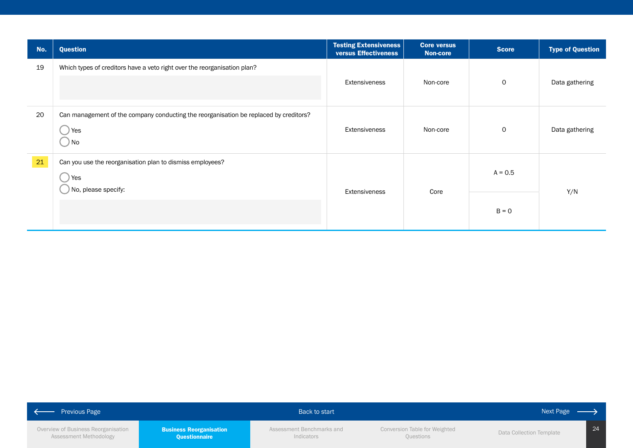| No. | <b>Question</b>                                                                                      | <b>Testing Extensiveness</b><br><b>versus Effectiveness</b> | <b>Core versus</b><br><b>Non-core</b> | <b>Score</b> | <b>Type of Question</b> |     |
|-----|------------------------------------------------------------------------------------------------------|-------------------------------------------------------------|---------------------------------------|--------------|-------------------------|-----|
| 19  | Which types of creditors have a veto right over the reorganisation plan?                             | Extensiveness                                               | Non-core                              | $\mathbf 0$  | Data gathering          |     |
| 20  | Can management of the company conducting the reorganisation be replaced by creditors?<br>Yes<br>) No | Extensiveness                                               | Non-core                              | $\mathsf{O}$ | Data gathering          |     |
| 21  | Can you use the reorganisation plan to dismiss employees?<br>Yes<br>No, please specify:              | Extensiveness                                               |                                       | Core         | $A = 0.5$               | Y/N |
|     |                                                                                                      |                                                             |                                       | $B = 0$      |                         |     |

| <b>Previous Page</b>                                          |                                                 | <b>Back to start</b>                    |                                            | Next Page                |    |
|---------------------------------------------------------------|-------------------------------------------------|-----------------------------------------|--------------------------------------------|--------------------------|----|
| Overview of Business Reorganisation<br>Assessment Methodology | <b>Business Reorganisation</b><br>Questionnaire | Assessment Benchmarks and<br>Indicators | Conversion Table for Weighted<br>Questions | Data Collection Template | 24 |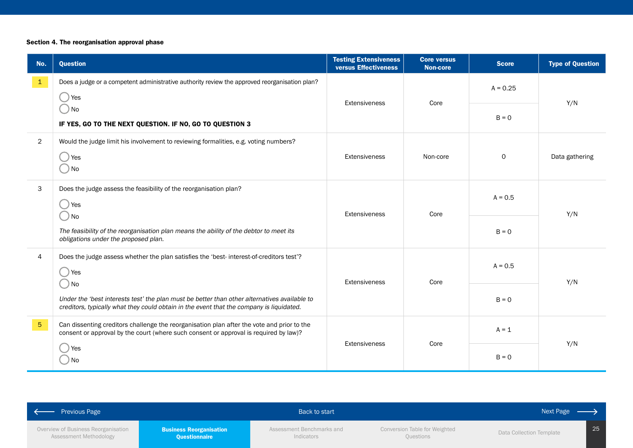## Section 4. The reorganisation approval phase

| No.            | <b>Question</b>                                                                                                                                                                                  | <b>Testing Extensiveness</b><br>versus Effectiveness | <b>Core versus</b><br><b>Non-core</b> | <b>Score</b> | <b>Type of Question</b> |
|----------------|--------------------------------------------------------------------------------------------------------------------------------------------------------------------------------------------------|------------------------------------------------------|---------------------------------------|--------------|-------------------------|
| $\mathbf{1}$   | Does a judge or a competent administrative authority review the approved reorganisation plan?<br>Yes                                                                                             | Core<br><b>Extensiveness</b>                         | $A = 0.25$                            | Y/N          |                         |
|                | ) No<br>IF YES, GO TO THE NEXT QUESTION. IF NO, GO TO QUESTION 3                                                                                                                                 |                                                      |                                       | $B = 0$      |                         |
| $\overline{2}$ | Would the judge limit his involvement to reviewing formalities, e.g. voting numbers?<br>Yes<br>) No                                                                                              | Extensiveness                                        | Non-core                              | $\mathsf O$  | Data gathering          |
| 3              | Does the judge assess the feasibility of the reorganisation plan?<br>Yes                                                                                                                         | Core<br>Extensiveness                                |                                       | $A = 0.5$    | Y/N                     |
|                | ) No<br>The feasibility of the reorganisation plan means the ability of the debtor to meet its<br>obligations under the proposed plan.                                                           |                                                      |                                       | $B = 0$      |                         |
| $\overline{4}$ | Does the judge assess whether the plan satisfies the 'best-interest-of-creditors test'?<br>Yes                                                                                                   | Core<br><b>Extensiveness</b>                         |                                       | $A = 0.5$    | Y/N                     |
|                | ) No<br>Under the 'best interests test' the plan must be better than other alternatives available to<br>creditors, typically what they could obtain in the event that the company is liquidated. |                                                      |                                       | $B = 0$      |                         |
| 5 <sub>5</sub> | Can dissenting creditors challenge the reorganisation plan after the vote and prior to the<br>consent or approval by the court (where such consent or approval is required by law)?              |                                                      |                                       | $A = 1$      |                         |
|                | Yes<br>) No                                                                                                                                                                                      | Extensiveness                                        | Core                                  | $B = 0$      | Y/N                     |

| <b>Previous Page</b>                |                                | Back to start             |                               | Next Page                |
|-------------------------------------|--------------------------------|---------------------------|-------------------------------|--------------------------|
| Overview of Business Reorganisation | <b>Business Reorganisation</b> | Assessment Benchmarks and | Conversion Table for Weighted | 25                       |
| Assessment Methodology              | Questionnaire                  | Indicators                | Questions                     | Data Collection Template |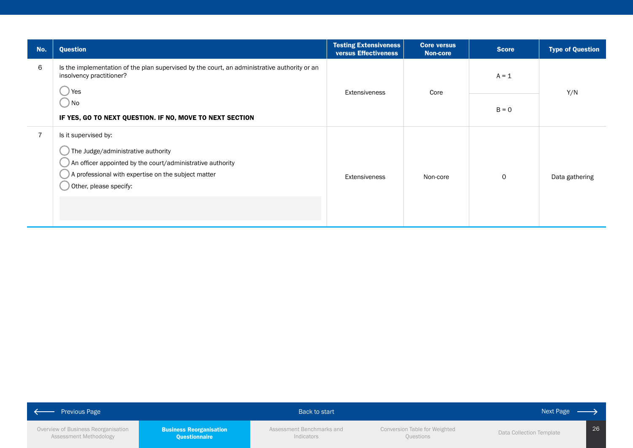| No. | Question                                                                                                                                                                                                  | <b>Testing Extensiveness</b><br><b>versus Effectiveness</b> | <b>Core versus</b><br><b>Non-core</b> | <b>Score</b> | <b>Type of Question</b> |
|-----|-----------------------------------------------------------------------------------------------------------------------------------------------------------------------------------------------------------|-------------------------------------------------------------|---------------------------------------|--------------|-------------------------|
| 6   | Is the implementation of the plan supervised by the court, an administrative authority or an<br>insolvency practitioner?<br>Yes                                                                           |                                                             |                                       | $A = 1$      |                         |
|     | $\bigcup$ No<br>IF YES, GO TO NEXT QUESTION. IF NO, MOVE TO NEXT SECTION                                                                                                                                  |                                                             | Core<br>Extensiveness                 |              | Y/N                     |
| 7   | Is it supervised by:<br>The Judge/administrative authority<br>An officer appointed by the court/administrative authority<br>A professional with expertise on the subject matter<br>Other, please specify: | Extensiveness                                               | Non-core                              | 0            | Data gathering          |

| <b>Previous Page</b>                                          |                                                 | Back to start                           |                                            | Next Page                |    |
|---------------------------------------------------------------|-------------------------------------------------|-----------------------------------------|--------------------------------------------|--------------------------|----|
| Overview of Business Reorganisation<br>Assessment Methodology | <b>Business Reorganisation</b><br>Questionnaire | Assessment Benchmarks and<br>Indicators | Conversion Table for Weighted<br>Questions | Data Collection Template | 26 |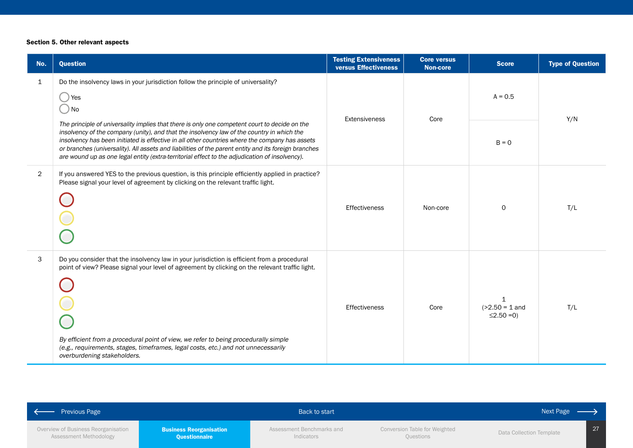### Section 5. Other relevant aspects

| No.            | <b>Question</b>                                                                                                                                                                                                                                                                                                                                                                                                                                                                                         | <b>Testing Extensiveness</b><br>versus Effectiveness | <b>Core versus</b><br><b>Non-core</b> | <b>Score</b>                                         | <b>Type of Question</b> |
|----------------|---------------------------------------------------------------------------------------------------------------------------------------------------------------------------------------------------------------------------------------------------------------------------------------------------------------------------------------------------------------------------------------------------------------------------------------------------------------------------------------------------------|------------------------------------------------------|---------------------------------------|------------------------------------------------------|-------------------------|
| $\mathbf{1}$   | Do the insolvency laws in your jurisdiction follow the principle of universality?<br>Yes<br>$)$ No                                                                                                                                                                                                                                                                                                                                                                                                      |                                                      |                                       | $A = 0.5$                                            | Y/N                     |
|                | The principle of universality implies that there is only one competent court to decide on the<br>insolvency of the company (unity), and that the insolvency law of the country in which the<br>insolvency has been initiated is effective in all other countries where the company has assets<br>or branches (universality). All assets and liabilities of the parent entity and its foreign branches<br>are wound up as one legal entity (extra-territorial effect to the adjudication of insolvency). | Core<br>Extensiveness                                |                                       | $B = 0$                                              |                         |
| $\overline{2}$ | If you answered YES to the previous question, is this principle efficiently applied in practice?<br>Please signal your level of agreement by clicking on the relevant traffic light.                                                                                                                                                                                                                                                                                                                    | <b>Effectiveness</b>                                 | Non-core                              | $\Omega$                                             | T/L                     |
| 3              | Do you consider that the insolvency law in your jurisdiction is efficient from a procedural<br>point of view? Please signal your level of agreement by clicking on the relevant traffic light.<br>By efficient from a procedural point of view, we refer to being procedurally simple<br>(e.g., requirements, stages, timeframes, legal costs, etc.) and not unnecessarily<br>overburdening stakeholders.                                                                                               | Effectiveness                                        | Core                                  | $\mathbf 1$<br>$( >2.50 = 1$ and<br>$\leq$ 2.50 = 0) | T/L                     |

| <b>Previous Page</b>                                          |                                                        | Back to start                           |                                                   | Next Page —              |                 |
|---------------------------------------------------------------|--------------------------------------------------------|-----------------------------------------|---------------------------------------------------|--------------------------|-----------------|
| Overview of Business Reorganisation<br>Assessment Methodology | <b>Business Reorganisation</b><br><b>Questionnaire</b> | Assessment Benchmarks and<br>Indicators | Conversion Table for Weighted<br><b>Ouestions</b> | Data Collection Template | 27 <sub>1</sub> |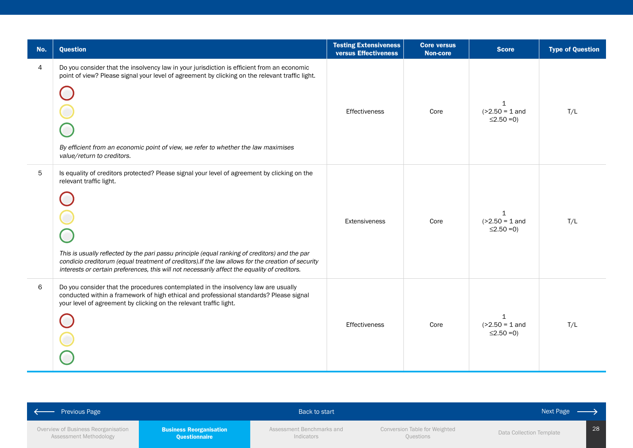| No. | <b>Question</b>                                                                                                                                                                                                                                                                                                                                                                                                                  | <b>Testing Extensiveness</b><br><b>versus Effectiveness</b> | <b>Core versus</b><br><b>Non-core</b> | <b>Score</b>                                          | <b>Type of Question</b> |
|-----|----------------------------------------------------------------------------------------------------------------------------------------------------------------------------------------------------------------------------------------------------------------------------------------------------------------------------------------------------------------------------------------------------------------------------------|-------------------------------------------------------------|---------------------------------------|-------------------------------------------------------|-------------------------|
| 4   | Do you consider that the insolvency law in your jurisdiction is efficient from an economic<br>point of view? Please signal your level of agreement by clicking on the relevant traffic light.<br>By efficient from an economic point of view, we refer to whether the law maximises<br>value/return to creditors.                                                                                                                | Effectiveness                                               | Core                                  | $\mathbf{1}$<br>$( >2.50 = 1$ and<br>$\leq$ 2.50 = 0) | T/L                     |
| 5   | Is equality of creditors protected? Please signal your level of agreement by clicking on the<br>relevant traffic light.<br>This is usually reflected by the pari passu principle (equal ranking of creditors) and the par<br>condicio creditorum (equal treatment of creditors). If the law allows for the creation of security<br>interests or certain preferences, this will not necessarily affect the equality of creditors. | Extensiveness                                               | Core                                  | $\mathbf{1}$<br>$( >2.50 = 1$ and<br>$\leq$ 2.50 = 0) | T/L                     |
| 6   | Do you consider that the procedures contemplated in the insolvency law are usually<br>conducted within a framework of high ethical and professional standards? Please signal<br>your level of agreement by clicking on the relevant traffic light.                                                                                                                                                                               | Effectiveness                                               | Core                                  | $\mathbf{1}$<br>$( >2.50 = 1$ and<br>$\leq$ 2.50 = 0) | T/L                     |

| <b>Previous Page</b>                |                                | Back to start             |                               | Next Page                |
|-------------------------------------|--------------------------------|---------------------------|-------------------------------|--------------------------|
| Overview of Business Reorganisation | <b>Business Reorganisation</b> | Assessment Benchmarks and | Conversion Table for Weighted | Data Collection Template |
| Assessment Methodology              | <b>Questionnaire</b>           | Indicators                | Questions                     |                          |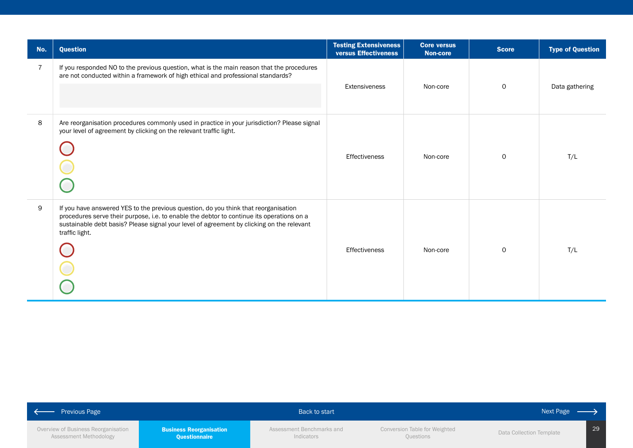| No. | <b>Question</b>                                                                                                                                                                                                                                                                                 | <b>Testing Extensiveness</b><br>versus Effectiveness | <b>Core versus</b><br><b>Non-core</b> | <b>Score</b> | <b>Type of Question</b> |
|-----|-------------------------------------------------------------------------------------------------------------------------------------------------------------------------------------------------------------------------------------------------------------------------------------------------|------------------------------------------------------|---------------------------------------|--------------|-------------------------|
| 7   | If you responded NO to the previous question, what is the main reason that the procedures<br>are not conducted within a framework of high ethical and professional standards?                                                                                                                   | Extensiveness                                        | Non-core                              | $\mathsf{O}$ | Data gathering          |
| 8   | Are reorganisation procedures commonly used in practice in your jurisdiction? Please signal<br>your level of agreement by clicking on the relevant traffic light.                                                                                                                               | Effectiveness                                        | Non-core                              | $\mathbf 0$  | T/L                     |
| 9   | If you have answered YES to the previous question, do you think that reorganisation<br>procedures serve their purpose, i.e. to enable the debtor to continue its operations on a<br>sustainable debt basis? Please signal your level of agreement by clicking on the relevant<br>traffic light. | <b>Effectiveness</b>                                 | Non-core                              | $\Omega$     | T/L                     |

| <b>Previous Page</b><br><b>Contract Contract</b>              |                                                        | Back to start                           |                                            | Next Page                |    |
|---------------------------------------------------------------|--------------------------------------------------------|-----------------------------------------|--------------------------------------------|--------------------------|----|
| Overview of Business Reorganisation<br>Assessment Methodology | <b>Business Reorganisation</b><br><b>Questionnaire</b> | Assessment Benchmarks and<br>Indicators | Conversion Table for Weighted<br>Questions | Data Collection Template | 29 |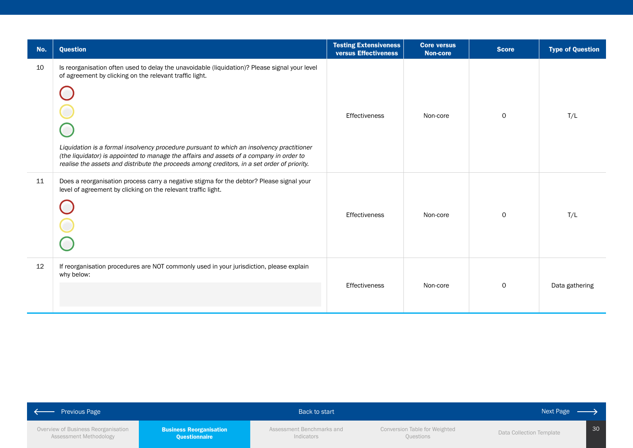| No. | <b>Question</b>                                                                                                                                                                                                                                                                                                                                                                                                                                 | <b>Testing Extensiveness</b><br>versus Effectiveness | <b>Core versus</b><br><b>Non-core</b> | <b>Score</b> | <b>Type of Question</b> |
|-----|-------------------------------------------------------------------------------------------------------------------------------------------------------------------------------------------------------------------------------------------------------------------------------------------------------------------------------------------------------------------------------------------------------------------------------------------------|------------------------------------------------------|---------------------------------------|--------------|-------------------------|
| 10  | Is reorganisation often used to delay the unavoidable (liquidation)? Please signal your level<br>of agreement by clicking on the relevant traffic light.<br>Liquidation is a formal insolvency procedure pursuant to which an insolvency practitioner<br>(the liquidator) is appointed to manage the affairs and assets of a company in order to<br>realise the assets and distribute the proceeds among creditors, in a set order of priority. | Effectiveness                                        | Non-core                              | $\Omega$     | T/L                     |
| 11  | Does a reorganisation process carry a negative stigma for the debtor? Please signal your<br>level of agreement by clicking on the relevant traffic light.                                                                                                                                                                                                                                                                                       | Effectiveness                                        | Non-core                              | $\Omega$     | T/L                     |
| 12  | If reorganisation procedures are NOT commonly used in your jurisdiction, please explain<br>why below:                                                                                                                                                                                                                                                                                                                                           | Effectiveness                                        | Non-core                              | $\circ$      | Data gathering          |

| <b>Previous Page</b>                |                                | Back to start             |                               | Next Page                |
|-------------------------------------|--------------------------------|---------------------------|-------------------------------|--------------------------|
| Overview of Business Reorganisation | <b>Business Reorganisation</b> | Assessment Benchmarks and | Conversion Table for Weighted | 30                       |
| Assessment Methodology              | <b>Questionnaire</b>           | Indicators                | Questions                     | Data Collection Template |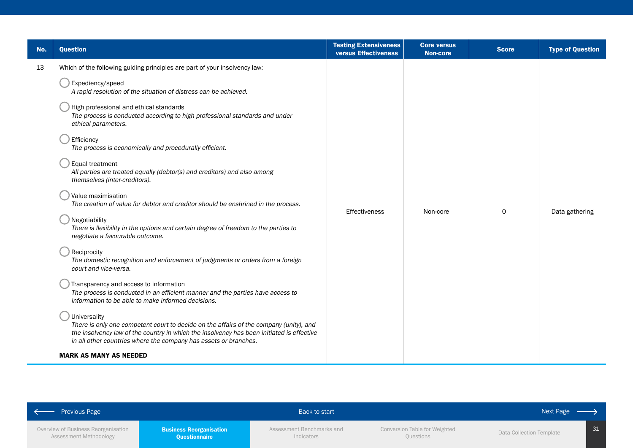| No. | <b>Question</b>                                                                                                                                                                                                                                                                                                                                                                                                                                                                                                                                                                                                                                                                                                                                                                                                                                                                                                                                                                                                                                                                                                                                                                                                                                                                                                                                                           | <b>Testing Extensiveness</b><br>versus Effectiveness | <b>Core versus</b><br><b>Non-core</b> | <b>Score</b> | <b>Type of Question</b> |
|-----|---------------------------------------------------------------------------------------------------------------------------------------------------------------------------------------------------------------------------------------------------------------------------------------------------------------------------------------------------------------------------------------------------------------------------------------------------------------------------------------------------------------------------------------------------------------------------------------------------------------------------------------------------------------------------------------------------------------------------------------------------------------------------------------------------------------------------------------------------------------------------------------------------------------------------------------------------------------------------------------------------------------------------------------------------------------------------------------------------------------------------------------------------------------------------------------------------------------------------------------------------------------------------------------------------------------------------------------------------------------------------|------------------------------------------------------|---------------------------------------|--------------|-------------------------|
| 13  | Which of the following guiding principles are part of your insolvency law:<br>Expediency/speed<br>A rapid resolution of the situation of distress can be achieved.<br>High professional and ethical standards<br>The process is conducted according to high professional standards and under<br>ethical parameters.<br>Efficiency<br>The process is economically and procedurally efficient.<br>Equal treatment<br>All parties are treated equally (debtor(s) and creditors) and also among<br>themselves (inter-creditors).<br>Value maximisation<br>The creation of value for debtor and creditor should be enshrined in the process.<br>Negotiability<br>There is flexibility in the options and certain degree of freedom to the parties to<br>negotiate a favourable outcome.<br>Reciprocity<br>The domestic recognition and enforcement of judgments or orders from a foreign<br>court and vice-versa.<br>Transparency and access to information<br>The process is conducted in an efficient manner and the parties have access to<br>information to be able to make informed decisions.<br>Universality<br>There is only one competent court to decide on the affairs of the company (unity), and<br>the insolvency law of the country in which the insolvency has been initiated is effective<br>in all other countries where the company has assets or branches. | <b>Effectiveness</b>                                 | Non-core                              | $\mathbf 0$  | Data gathering          |
|     | <b>MARK AS MANY AS NEEDED</b>                                                                                                                                                                                                                                                                                                                                                                                                                                                                                                                                                                                                                                                                                                                                                                                                                                                                                                                                                                                                                                                                                                                                                                                                                                                                                                                                             |                                                      |                                       |              |                         |

| $\left\vert \begin{array}{c} \leftarrow \end{array} \right.$ Previous Page |                                                 | Back to start                           |                                            | Next Page $\longrightarrow$ |  |
|----------------------------------------------------------------------------|-------------------------------------------------|-----------------------------------------|--------------------------------------------|-----------------------------|--|
| Overview of Business Reorganisation<br>Assessment Methodology              | <b>Business Reorganisation</b><br>Questionnaire | Assessment Benchmarks and<br>Indicators | Conversion Table for Weighted<br>Questions | Data Collection Template    |  |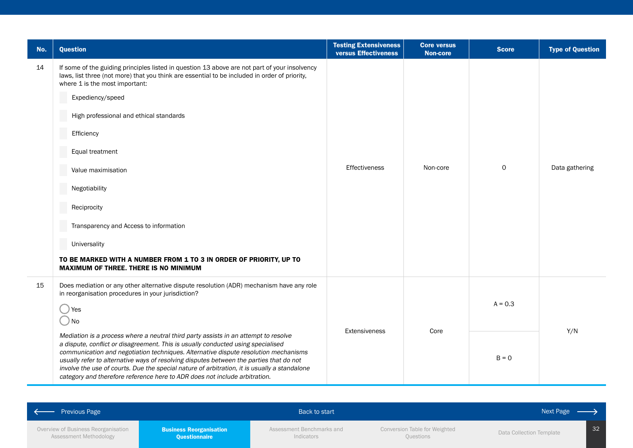| No. | <b>Question</b>                                                                                                                                                                                                                                                                                                                                                                                                                                                                                                                         | <b>Testing Extensiveness</b><br>versus Effectiveness | <b>Core versus</b><br><b>Non-core</b> | <b>Score</b> | <b>Type of Question</b> |
|-----|-----------------------------------------------------------------------------------------------------------------------------------------------------------------------------------------------------------------------------------------------------------------------------------------------------------------------------------------------------------------------------------------------------------------------------------------------------------------------------------------------------------------------------------------|------------------------------------------------------|---------------------------------------|--------------|-------------------------|
| 14  | If some of the guiding principles listed in question 13 above are not part of your insolvency<br>laws, list three (not more) that you think are essential to be included in order of priority,<br>where 1 is the most important:<br>Expediency/speed<br>High professional and ethical standards<br>Efficiency<br>Equal treatment<br>Value maximisation<br>Negotiability                                                                                                                                                                 | Effectiveness                                        | Non-core                              | $\mathsf{O}$ | Data gathering          |
|     | Reciprocity<br>Transparency and Access to information<br>Universality<br>TO BE MARKED WITH A NUMBER FROM 1 TO 3 IN ORDER OF PRIORITY, UP TO<br>MAXIMUM OF THREE. THERE IS NO MINIMUM                                                                                                                                                                                                                                                                                                                                                    |                                                      |                                       |              |                         |
| 15  | Does mediation or any other alternative dispute resolution (ADR) mechanism have any role<br>in reorganisation procedures in your jurisdiction?<br>Yes<br>) No                                                                                                                                                                                                                                                                                                                                                                           |                                                      | Core                                  | $A = 0.3$    |                         |
|     | Mediation is a process where a neutral third party assists in an attempt to resolve<br>a dispute, conflict or disagreement. This is usually conducted using specialised<br>communication and negotiation techniques. Alternative dispute resolution mechanisms<br>usually refer to alternative ways of resolving disputes between the parties that do not<br>involve the use of courts. Due the special nature of arbitration, it is usually a standalone<br>category and therefore reference here to ADR does not include arbitration. | Extensiveness                                        |                                       | $B = 0$      | Y/N                     |

| $\sim$ $\sim$<br>Previous Page                                |                                                        | Back to start                           |                                            | Next Page                |                 |
|---------------------------------------------------------------|--------------------------------------------------------|-----------------------------------------|--------------------------------------------|--------------------------|-----------------|
| Overview of Business Reorganisation<br>Assessment Methodology | <b>Business Reorganisation</b><br><b>Questionnaire</b> | Assessment Benchmarks and<br>Indicators | Conversion Table for Weighted<br>Questions | Data Collection Template | 32 <sub>2</sub> |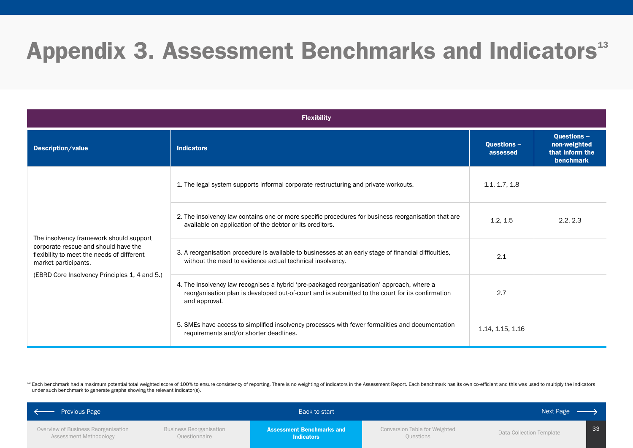## <span id="page-32-0"></span>Appendix 3. Assessment Benchmarks and Indicators<sup>13</sup>

|                                                                                                                                                                                                        | <b>Flexibility</b>                                                                                                                                                                                             |                                |                                                                    |  |  |
|--------------------------------------------------------------------------------------------------------------------------------------------------------------------------------------------------------|----------------------------------------------------------------------------------------------------------------------------------------------------------------------------------------------------------------|--------------------------------|--------------------------------------------------------------------|--|--|
| Description/value                                                                                                                                                                                      | <b>Indicators</b>                                                                                                                                                                                              | <b>Questions -</b><br>assessed | <b>Questions -</b><br>non-weighted<br>that inform the<br>benchmark |  |  |
| The insolvency framework should support<br>corporate rescue and should have the<br>flexibility to meet the needs of different<br>market participants.<br>(EBRD Core Insolvency Principles 1, 4 and 5.) | 1. The legal system supports informal corporate restructuring and private workouts.                                                                                                                            | 1.1, 1.7, 1.8                  |                                                                    |  |  |
|                                                                                                                                                                                                        | 2. The insolvency law contains one or more specific procedures for business reorganisation that are<br>available on application of the debtor or its creditors.                                                | 1.2, 1.5                       | 2.2, 2.3                                                           |  |  |
|                                                                                                                                                                                                        | 3. A reorganisation procedure is available to businesses at an early stage of financial difficulties,<br>without the need to evidence actual technical insolvency.                                             | 2.1                            |                                                                    |  |  |
|                                                                                                                                                                                                        | 4. The insolvency law recognises a hybrid 'pre-packaged reorganisation' approach, where a<br>reorganisation plan is developed out-of-court and is submitted to the court for its confirmation<br>and approval. | 2.7                            |                                                                    |  |  |
|                                                                                                                                                                                                        | 5. SMEs have access to simplified insolvency processes with fewer formalities and documentation<br>requirements and/or shorter deadlines.                                                                      | 1.14, 1.15, 1.16               |                                                                    |  |  |

<sup>13</sup> Each benchmark had a maximum potential total weighted score of 100% to ensure consistency of reporting. There is no weighting of indicators in the Assessment Report. Each benchmark has its own co-efficient and this wa under such benchmark to generate graphs showing the relevant indicator(s).

| <b>Previous Page</b>                                          |                                                 | Back to start                                         |                                            | Next Page $-$            |    |
|---------------------------------------------------------------|-------------------------------------------------|-------------------------------------------------------|--------------------------------------------|--------------------------|----|
| Overview of Business Reorganisation<br>Assessment Methodology | <b>Business Reorganisation</b><br>Questionnaire | <b>Assessment Benchmarks and</b><br><b>Indicators</b> | Conversion Table for Weighted<br>Questions | Data Collection Template | 33 |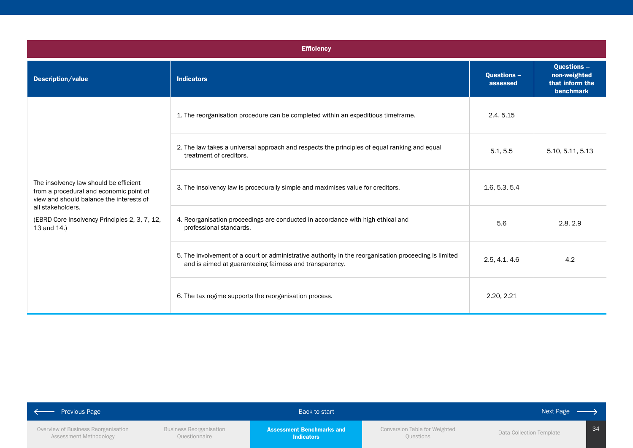|                                                                                                                                                                                                                    | <b>Efficiency</b>                                                                                                                                                |                                |                                                                    |  |  |
|--------------------------------------------------------------------------------------------------------------------------------------------------------------------------------------------------------------------|------------------------------------------------------------------------------------------------------------------------------------------------------------------|--------------------------------|--------------------------------------------------------------------|--|--|
| Description/value                                                                                                                                                                                                  | <b>Indicators</b>                                                                                                                                                | <b>Questions -</b><br>assessed | <b>Questions -</b><br>non-weighted<br>that inform the<br>benchmark |  |  |
|                                                                                                                                                                                                                    | 1. The reorganisation procedure can be completed within an expeditious timeframe.                                                                                | 2.4, 5.15                      |                                                                    |  |  |
| The insolvency law should be efficient<br>from a procedural and economic point of<br>view and should balance the interests of<br>all stakeholders.<br>(EBRD Core Insolvency Principles 2, 3, 7, 12,<br>13 and 14.) | 2. The law takes a universal approach and respects the principles of equal ranking and equal<br>treatment of creditors.                                          | 5.1, 5.5                       | 5.10, 5.11, 5.13                                                   |  |  |
|                                                                                                                                                                                                                    | 3. The insolvency law is procedurally simple and maximises value for creditors.                                                                                  | 1.6, 5.3, 5.4                  |                                                                    |  |  |
|                                                                                                                                                                                                                    | 4. Reorganisation proceedings are conducted in accordance with high ethical and<br>professional standards.                                                       | 5.6                            | 2.8, 2.9                                                           |  |  |
|                                                                                                                                                                                                                    | 5. The involvement of a court or administrative authority in the reorganisation proceeding is limited<br>and is aimed at guaranteeing fairness and transparency. | 2.5, 4.1, 4.6                  | 4.2                                                                |  |  |
|                                                                                                                                                                                                                    | 6. The tax regime supports the reorganisation process.                                                                                                           | 2.20, 2.21                     |                                                                    |  |  |

| <b>Previous Page</b>                                          |                                                 | Back to start                                         |                                                   | Next Page                |  |
|---------------------------------------------------------------|-------------------------------------------------|-------------------------------------------------------|---------------------------------------------------|--------------------------|--|
| Overview of Business Reorganisation<br>Assessment Methodology | <b>Business Reorganisation</b><br>Questionnaire | <b>Assessment Benchmarks and</b><br><b>Indicators</b> | <b>Conversion Table for Weighted</b><br>Questions | Data Collection Template |  |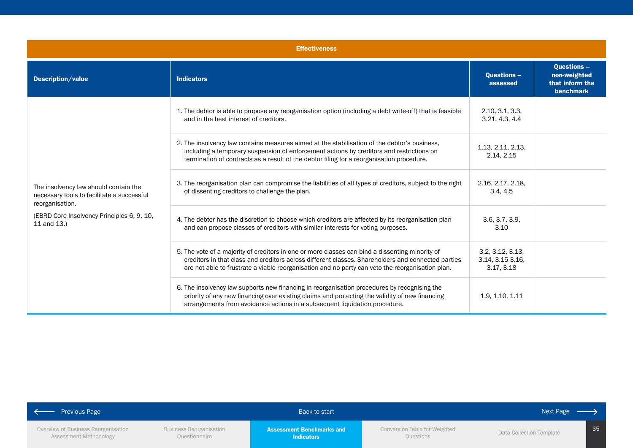|                                                                                                                                                                     | <b>Effectiveness</b>                                                                                                                                                                                                                                                                                      |                                                   |                                                                    |  |  |
|---------------------------------------------------------------------------------------------------------------------------------------------------------------------|-----------------------------------------------------------------------------------------------------------------------------------------------------------------------------------------------------------------------------------------------------------------------------------------------------------|---------------------------------------------------|--------------------------------------------------------------------|--|--|
| Description/value                                                                                                                                                   | <b>Indicators</b>                                                                                                                                                                                                                                                                                         | <b>Questions -</b><br>assessed                    | <b>Questions -</b><br>non-weighted<br>that inform the<br>benchmark |  |  |
|                                                                                                                                                                     | 1. The debtor is able to propose any reorganisation option (including a debt write-off) that is feasible<br>and in the best interest of creditors.                                                                                                                                                        | 2.10, 3.1, 3.3<br>3.21, 4.3, 4.4                  |                                                                    |  |  |
| The insolvency law should contain the<br>necessary tools to facilitate a successful<br>reorganisation.<br>(EBRD Core Insolvency Principles 6, 9, 10,<br>11 and 13.) | 2. The insolvency law contains measures aimed at the stabilisation of the debtor's business,<br>including a temporary suspension of enforcement actions by creditors and restrictions on<br>termination of contracts as a result of the debtor filing for a reorganisation procedure.                     | 1.13, 2.11, 2.13,<br>2.14, 2.15                   |                                                                    |  |  |
|                                                                                                                                                                     | 3. The reorganisation plan can compromise the liabilities of all types of creditors, subject to the right<br>of dissenting creditors to challenge the plan.                                                                                                                                               | 2.16, 2.17, 2.18,<br>3.4, 4.5                     |                                                                    |  |  |
|                                                                                                                                                                     | 4. The debtor has the discretion to choose which creditors are affected by its reorganisation plan<br>and can propose classes of creditors with similar interests for voting purposes.                                                                                                                    | 3.6, 3.7, 3.9,<br>3.10                            |                                                                    |  |  |
|                                                                                                                                                                     | 5. The vote of a majority of creditors in one or more classes can bind a dissenting minority of<br>creditors in that class and creditors across different classes. Shareholders and connected parties<br>are not able to frustrate a viable reorganisation and no party can veto the reorganisation plan. | 3.2, 3.12, 3.13<br>3.14, 3.15 3.16,<br>3.17, 3.18 |                                                                    |  |  |
|                                                                                                                                                                     | 6. The insolvency law supports new financing in reorganisation procedures by recognising the<br>priority of any new financing over existing claims and protecting the validity of new financing<br>arrangements from avoidance actions in a subsequent liquidation procedure.                             | 1.9, 1.10, 1.11                                   |                                                                    |  |  |

| <b>Previous Page</b>                                          |                                                 | Back to start                                         |                                            | Next Page                |    |
|---------------------------------------------------------------|-------------------------------------------------|-------------------------------------------------------|--------------------------------------------|--------------------------|----|
| Overview of Business Reorganisation<br>Assessment Methodology | <b>Business Reorganisation</b><br>Questionnaire | <b>Assessment Benchmarks and</b><br><b>Indicators</b> | Conversion Table for Weighted<br>Questions | Data Collection Template | 35 |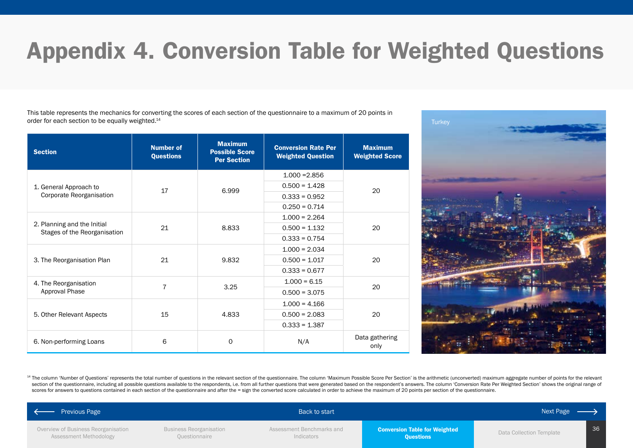# <span id="page-35-0"></span>Appendix 4. Conversion Table for Weighted Questions

This table represents the mechanics for converting the scores of each section of the questionnaire to a maximum of 20 points in order for each section to be equally weighted.<sup>14</sup>

| <b>Section</b>                                              | <b>Number of</b><br><b>Questions</b> | <b>Maximum</b><br><b>Possible Score</b><br><b>Per Section</b> | <b>Conversion Rate Per</b><br><b>Weighted Question</b> | <b>Maximum</b><br><b>Weighted Score</b> |  |
|-------------------------------------------------------------|--------------------------------------|---------------------------------------------------------------|--------------------------------------------------------|-----------------------------------------|--|
|                                                             |                                      |                                                               | $1.000 = 2.856$                                        |                                         |  |
| 1. General Approach to                                      | 17                                   | 6.999                                                         | $0.500 = 1.428$                                        | 20                                      |  |
| Corporate Reorganisation                                    |                                      |                                                               | $0.333 = 0.952$                                        |                                         |  |
|                                                             |                                      |                                                               | $0.250 = 0.714$                                        |                                         |  |
|                                                             |                                      |                                                               | $1.000 = 2.264$                                        |                                         |  |
| 2. Planning and the Initial<br>Stages of the Reorganisation | 21                                   | 8.833                                                         | $0.500 = 1.132$                                        | 20                                      |  |
|                                                             |                                      |                                                               | $0.333 = 0.754$                                        |                                         |  |
|                                                             |                                      | 9.832                                                         | $1.000 = 2.034$                                        | 20                                      |  |
| 3. The Reorganisation Plan                                  | 21                                   |                                                               | $0.500 = 1.017$                                        |                                         |  |
|                                                             |                                      |                                                               | $0.333 = 0.677$                                        |                                         |  |
| 4. The Reorganisation                                       |                                      |                                                               | $1.000 = 6.15$                                         | 20                                      |  |
| Approval Phase                                              | 7                                    | 3.25                                                          | $0.500 = 3.075$                                        |                                         |  |
|                                                             |                                      |                                                               | $1.000 = 4.166$                                        |                                         |  |
| 5. Other Relevant Aspects                                   | 15                                   | 4.833                                                         | $0.500 = 2.083$                                        | 20                                      |  |
|                                                             |                                      |                                                               | $0.333 = 1.387$                                        |                                         |  |
| 6. Non-performing Loans                                     | 6                                    | $\Omega$                                                      | N/A                                                    | Data gathering<br>only                  |  |



<sup>14</sup> The column 'Number of Questions' represents the total number of questions in the relevant section of the questionnaire. The column 'Maximum Possible Score Per Section' is the arithmetic (unconverted) maximum aggregate section of the questionnaire, including all possible questions available to the respondents, i.e. from all further questions that were generated based on the respondent's answers. The column 'Conversion Rate Per Weighted S scores for answers to questions contained in each section of the questionnaire and after the = sign the converted score calculated in order to achieve the maximum of 20 points per section of the questionnaire.

| ← Previous Page                                               |                                          | Back to start                           |                                                          | Next Page $\longrightarrow$ |    |
|---------------------------------------------------------------|------------------------------------------|-----------------------------------------|----------------------------------------------------------|-----------------------------|----|
| Overview of Business Reorganisation<br>Assessment Methodology | Business Reorganisation<br>Questionnaire | Assessment Benchmarks and<br>Indicators | <b>Conversion Table for Weighted</b><br><b>Questions</b> | Data Collection Template    | 36 |